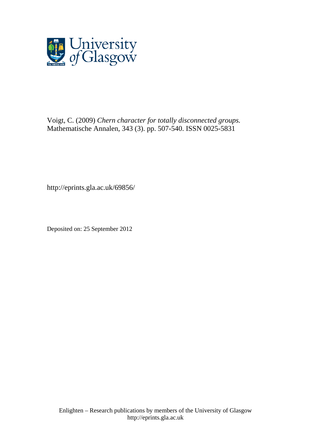

Voigt, C. (2009) *Chern character for totally disconnected groups.* Mathematische Annalen, 343 (3). pp. 507-540. ISSN 0025-5831

http://eprints.gla.ac.uk/69856/

Deposited on: 25 September 2012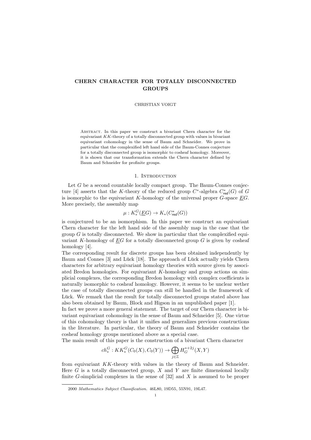## CHERN CHARACTER FOR TOTALLY DISCONNECTED GROUPS

#### CHRISTIAN VOIGT

Abstract. In this paper we construct a bivariant Chern character for the equivariant KK-theory of a totally disconnected group with values in bivariant equivariant cohomology in the sense of Baum and Schneider. We prove in particular that the complexified left hand side of the Baum-Connes conjecture for a totally disconnected group is isomorphic to cosheaf homology. Moreover, it is shown that our transformation extends the Chern character defined by Baum and Schneider for profinite groups.

## 1. Introduction

Let  $G$  be a second countable locally compact group. The Baum-Connes conjecture [4] asserts that the K-theory of the reduced group  $C^*$ -algebra  $C^*_{red}(G)$  of G is isomorphic to the equivariant K-homology of the universal proper  $G$ -space  $EG$ . More precisely, the assembly map

$$
\mu: K_*^G(\underline{E}G) \to K_*(C^*_{\text{red}}(G))
$$

is conjectured to be an isomorphism. In this paper we construct an equivariant Chern character for the left hand side of the assembly map in the case that the group  $G$  is totally disconnected. We show in particular that the complexified equivariant K-homology of  $EG$  for a totally disconnected group  $G$  is given by cosheaf homology [4].

The corresponding result for discrete groups has been obtained independently by Baum and Connes [3] and Lück [18]. The approach of Lück actually yields Chern characters for arbitrary equivariant homology theories with source given by associated Bredon homologies. For equivariant K-homology and group actions on simplicial complexes, the corresponding Bredon homology with complex coefficients is naturally isomorphic to cosheaf homology. However, it seems to be unclear wether the case of totally disconnected groups can still be handled in the framework of Lück. We remark that the result for totally disconnected groups stated above has also been obtained by Baum, Block and Higson in an unpublished paper [1].

In fact we prove a more general statement. The target of our Chern character is bivariant equivariant cohomology in the sense of Baum and Schneider [5]. One virtue of this cohomology theory is that it unifies and generalizes previous constructions in the literature. In particular, the theory of Baum and Schneider contains the cosheaf homology groups mentioned above as a special case.

The main result of this paper is the construction of a bivariant Chern character

$$
ch^G_*: KK^G_*(C_0(X), C_0(Y)) \to \bigoplus_{j \in \mathbb{Z}} H^{*+2j}_G(X, Y)
$$

from equivariant KK-theory with values in the theory of Baum and Schneider. Here  $G$  is a totally disconnected group,  $X$  and  $Y$  are finite dimensional locally finite G-simplicial complexes in the sense of  $[32]$  and X is assumed to be proper

<sup>2000</sup> Mathematics Subject Classification. 46L80, 19D55, 55N91, 19L47.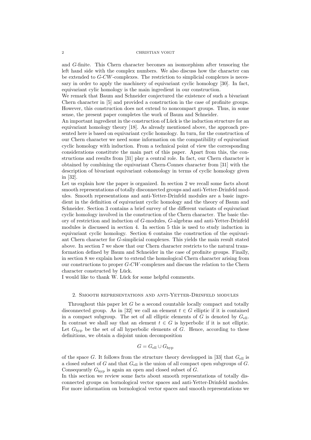and G-finite. This Chern character becomes an isomorphism after tensoring the left hand side with the complex numbers. We also discuss how the character can be extended to G-CW-complexes. The restriction to simplicial complexes is necessary in order to apply the machinery of equivariant cyclic homology [30]. In fact, equivariant cylic homology is the main ingredient in our construction.

We remark that Baum and Schneider conjectured the existence of such a bivariant Chern character in [5] and provided a construction in the case of profinite groups. However, this construction does not extend to noncompact groups. Thus, in some sense, the present paper completes the work of Baum and Schneider.

An important ingredient in the construction of Lück is the induction structure for an equivariant homology theory [18]. As already mentioned above, the approach presented here is based on equivariant cyclic homology. In turn, for the construction of our Chern character we need some information on the compatibility of equivariant cyclic homology with induction. From a technical point of view the corresponding considerations constitute the main part of this paper. Apart from this, the constructions and results from [31] play a central role. In fact, our Chern character is obtained by combining the equivariant Chern-Connes character from [31] with the description of bivariant equivariant cohomology in terms of cyclic homology given in [32].

Let us explain how the paper is organized. In section 2 we recall some facts about smooth representations of totally disconnected groups and anti-Yetter-Drinfeld modules. Smooth representations and anti-Yetter-Drinfeld modules are a basic ingredient in the definition of equivariant cyclic homology and the theory of Baum and Schneider. Section 3 contains a brief survey of the different variants of equivariant cyclic homology involved in the construction of the Chern character. The basic theory of restriction and induction of G-modules, G-algebras and anti-Yetter-Drinfeld modules is discussed in section 4. In section 5 this is used to study induction in equivariant cyclic homology. Section 6 contains the construction of the equivariant Chern character for G-simplicial complexes. This yields the main result stated above. In section 7 we show that our Chern character restricts to the natural transformation defined by Baum and Schneider in the case of profinite groups. Finally, in section 8 we explain how to extend the homological Chern character arising from our constructions to proper G-CW-complexes and discuss the relation to the Chern character constructed by Lück.

I would like to thank W. Lück for some helpful comments.

#### 2. Smooth representations and anti-Yetter-Drinfeld modules

Throughout this paper let G be a second countable locally compact and totally disconnected group. As in [32] we call an element  $t \in G$  elliptic if it is contained in a compact subgroup. The set of all elliptic elements of  $G$  is denoted by  $G_{\text{ell}}$ . In contrast we shall say that an element  $t \in G$  is hyperbolic if it is not elliptic. Let  $G_{\text{hyp}}$  be the set of all hyperbolic elements of G. Hence, according to these definitions, we obtain a disjoint union decomposition

$$
G = G_{\text{ell}} \cup G_{\text{hyp}}
$$

of the space G. It follows from the structure theory developped in [33] that  $G_{\text{ell}}$  is a closed subset of G and that  $G_{\text{ell}}$  is the union of all compact open subgroups of G. Consequently  $G_{\text{hyp}}$  is again an open and closed subset of  $G$ .

In this section we review some facts about smooth representations of totally disconnected groups on bornological vector spaces and anti-Yetter-Drinfeld modules. For more information on bornological vector spaces and smooth representations we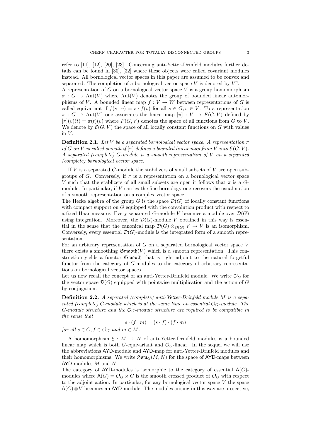refer to [11], [12], [20], [23]. Concerning anti-Yetter-Drinfeld modules further details can be found in [30], [32] where these objects were called covariant modules instead. All bornological vector spaces in this paper are assumed to be convex and separated. The completion of a bornological vector space  $V$  is denoted by  $V<sup>c</sup>$ .

A representation of G on a bornological vector space V is a group homomorphism  $\pi : G \to \text{Aut}(V)$  where  $\text{Aut}(V)$  denotes the group of bounded linear automorphisms of V. A bounded linear map  $f: V \to W$  between representations of G is called equivariant if  $f(s \cdot v) = s \cdot f(v)$  for all  $s \in G, v \in V$ . To a representation  $\pi : G \to \text{Aut}(V)$  one associates the linear map  $[\pi] : V \to F(G, V)$  defined by  $[\pi](v)(t) = \pi(t)(v)$  where  $F(G, V)$  denotes the space of all functions from G to V. We denote by  $\mathcal{E}(G, V)$  the space of all locally constant functions on G with values in  $V$ .

**Definition 2.1.** Let V be a separated bornological vector space. A representation  $\pi$ of G on V is called smooth if  $[\pi]$  defines a bounded linear map from V into  $\mathcal{E}(G, V)$ . A separated (complete) G-module is a smooth representation of V on a separated (complete) bornological vector space.

If V is a separated G-module the stabilizers of small subsets of V are open subgroups of G. Conversely, if  $\pi$  is a representation on a bornological vector space V such that the stablizers of all small subsets are open it follows that  $\pi$  is a Gmodule. In particular, if V carries the fine bornology one recovers the usual notion of a smooth representation on a complex vector space.

The Hecke algebra of the group G is the space  $\mathcal{D}(G)$  of locally constant functions with compact support on G equipped with the convolution product with respect to a fixed Haar measure. Every separated G-module V becomes a module over  $\mathcal{D}(G)$ using integration. Moreover, the  $\mathcal{D}(G)$ -module V obtained in this way is essential in the sense that the canonical map  $\mathcal{D}(G) \otimes_{\mathcal{D}(G)} V \to V$  is an isomorphism. Conversely, every essential  $\mathcal{D}(G)$ -module is the integrated form of a smooth representation.

For an arbitrary representation of  $G$  on a separated bornological vector space  $V$ there exists a smoothing  $\mathfrak{Smod}(\mathcal{V})$  which is a smooth representation. This construction yields a functor Smooth that is right adjoint to the natural forgetful functor from the category of G-modules to the category of arbitrary representations on bornological vector spaces.

Let us now recall the concept of an anti-Yetter-Drinfeld module. We write  $\mathcal{O}_G$  for the vector space  $\mathcal{D}(G)$  equipped with pointwise multiplication and the action of G by conjugation.

Definition 2.2. A separated (complete) anti-Yetter-Drinfeld module M is a separated (complete) G-module which is at the same time an essential  $\mathcal{O}_G$ -module. The G-module structure and the  $\mathcal{O}_G$ -module structure are required to be compatible in the sense that

$$
s \cdot (f \cdot m) = (s \cdot f) \cdot (f \cdot m)
$$

for all  $s \in G, f \in \mathcal{O}_G$  and  $m \in M$ .

A homomorphism  $\xi : M \to N$  of anti-Yetter-Drinfeld modules is a bounded linear map which is both G-equivariant and  $\mathcal{O}_G$ -linear. In the sequel we will use the abbreviations AYD-module and AYD-map for anti-Yetter-Drinfeld modules and their homomorphisms. We write  $\mathfrak{Hom}_G(M, N)$  for the space of AYD-maps between AYD-modules M and N.

The category of  $AYD$ -modules is isomorphic to the category of essential  $A(G)$ modules where  $A(G) = \mathcal{O}_G \rtimes G$  is the smooth crossed product of  $\mathcal{O}_G$  with respect to the adjoint action. In particular, for any bornological vector space  $V$  the space  $A(G) \otimes V$  becomes an AYD-module. The modules arising in this way are projective,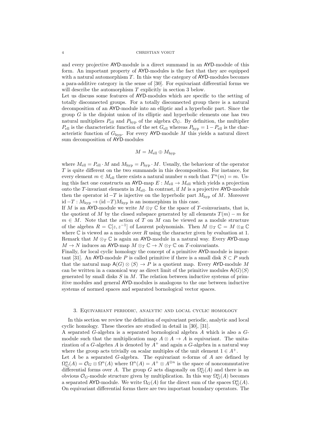and every projective AYD-module is a direct summand in an AYD-module of this form. An important property of AYD-modules is the fact that they are equipped with a natural automorphism  $T$ . In this way the category of  $AYD$ -modules becomes a para-additive category in the sense of [30]. For equivariant differential forms we will describe the automorphism T explicitly in section 3 below.

Let us discuss some features of AYD-modules which are specific to the setting of totally disconnected groups. For a totally disconnected group there is a natural decomposition of an AYD-module into an elliptic and a hyperbolic part. Since the group  $G$  is the disjoint union of its elliptic and hyperbolic elements one has two natural multipliers  $P_{\text{ell}}$  and  $P_{\text{hyp}}$  of the algebra  $\mathcal{O}_G$ . By definition, the multiplier  $P_{\text{ell}}$  is the characteristic function of the set  $G_{\text{ell}}$  whereas  $P_{\text{hyp}} = 1 - P_{\text{ell}}$  is the characteristic function of  $G_{\text{hyp}}$ . For every AYD-module M this yields a natural direct sum decomposition of AYD-modules

$$
M = M_{\rm ell} \oplus M_{\rm hyp}
$$

where  $M_{\text{ell}} = P_{\text{ell}} \cdot M$  and  $M_{\text{hyp}} = P_{\text{hyp}} \cdot M$ . Usually, the behaviour of the operator T is quite different on the two summands in this decomposition. For instance, for every element  $m \in M_{\text{ell}}$  there exists a natural number n such that  $T^n(m) = m$ . Using this fact one constructs an AYD-map  $E: M_{\text{ell}} \to M_{\text{ell}}$  which yields a projection onto the T-invariant elements in  $M_{\text{ell}}$ . In contrast, if M is a projective AYD-module then the operator id  $-T$  is injective on the hyperbolic part  $M_{\text{hyp}}$  of M. Moreover id  $-T$  :  $M_{\text{hyp}}$  → (id  $-T$ ) $M_{\text{hyp}}$  is an isomorphism in this case.

If M is an AYD-module we write  $M \otimes_T \mathbb{C}$  for the space of T-coinvariants, that is, the quotient of M by the closed subspace generated by all elements  $T(m) - m$  for  $m \in M$ . Note that the action of T on M can be viewed as a module structure of the algebra  $R = \mathbb{C}[z, z^{-1}]$  of Laurent polynomials. Then  $M \otimes_T \mathbb{C} = M \otimes_R \mathbb{C}$ where  $\mathbb C$  is viewed as a module over R using the character given by evaluation at 1. Remark that  $M \otimes_T \mathbb{C}$  is again an AYD-module in a natural way. Every AYD-map  $M \to N$  induces an AYD-map  $M \otimes_T \mathbb{C} \to N \otimes_T \mathbb{C}$  on T-coinvariants.

Finally, for local cyclic homology the concept of a primitive AYD-module is important [31]. An AYD-module P is called primitive if there is a small disk  $S \subset P$  such that the natural map  $A(G) \otimes \langle S \rangle \to P$  is a quotient map. Every AYD-module M can be written in a canonical way as direct limit of the primitive modules  $A(G)\langle S\rangle$ generated by small disks  $S$  in  $M$ . The relation between inductive systems of primitive modules and general AYD-modules is analogous to the one between inductive systems of normed spaces and separated bornological vector spaces.

## 3. Equivariant periodic, analytic and local cyclic homology

In this section we review the definition of equivariant periodic, analytic and local cyclic homology. These theories are studied in detail in [30], [31].

A separated G-algebra is a separated bornological algebra A which is also a Gmodule such that the multiplication map  $A \otimes A \rightarrow A$  is equivariant. The unitarization of a G-algebra A is denoted by  $A^+$  and again a G-algebra in a natural way where the group acts trivially on scalar multiples of the unit element  $1 \in A^+$ . Let  $A$  be a separated  $G$ -algebra. The equivariant *n*-forms of  $A$  are defined by  $\Omega_G^n(A) = \mathcal{O}_G \otimes \Omega^n(A)$  where  $\Omega^n(A) = A^+ \otimes A^{\otimes n}$  is the space of noncommutative differential forms over A. The group G acts diagonally on  $\Omega_G^n(A)$  and there is an obvious  $\mathcal{O}_G$ -module structure given by multiplication. In this way  $\Omega_G^n(A)$  becomes a separated AYD-module. We write  $\Omega_G(A)$  for the direct sum of the spaces  $\Omega_G^n(A)$ . On equivariant differential forms there are two important boundary operators. The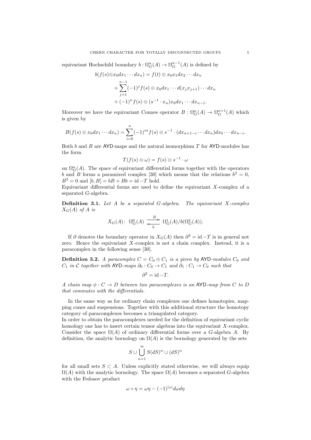equivariant Hochschild boundary  $b: \Omega_G^n(A) \to \Omega_G^{n-1}(A)$  is defined by

$$
b(f(s)\otimes x_0 dx_1 \cdots dx_n) = f(t) \otimes x_0 x_1 dx_2 \cdots dx_n
$$
  
+ 
$$
\sum_{j=1}^{n-1} (-1)^j f(s) \otimes x_0 dx_1 \cdots d(x_j x_{j+1}) \cdots dx_n
$$
  
+ 
$$
(-1)^n f(s) \otimes (s^{-1} \cdot x_n) x_0 dx_1 \cdots dx_{n-1}.
$$

Moreover we have the equivariant Connes operator  $B: \Omega_G^n(A) \to \Omega_G^{n+1}(A)$  which is given by

$$
B(f(s)\otimes x_0dx_1\cdots dx_n)=\sum_{i=0}^n(-1)^{ni}f(s)\otimes s^{-1}\cdot(dx_{n+1-i}\cdots dx_n)dx_0\cdots dx_{n-i}.
$$

Both b and B are AYD-maps and the natural isomorphism  $T$  for AYD-modules has the form

$$
T(f(s)\otimes\omega)=f(s)\otimes s^{-1}\cdot\omega
$$

on  $\Omega_G^n(A)$ . The space of equivariant differential forms together with the operators b and B forms a paramixed complex [30] which means that the relations  $b^2 = 0$ ,  $B^2 = 0$  and  $[b, B] = bB + Bb = id - T$  hold.

Equivariant differential forms are used to define the equivariant  $X$ -complex of a separated G-algebra.

**Definition 3.1.** Let  $A$  be a separated  $G$ -algebra. The equivariant  $X$ -complex  $X_G(A)$  of A is

$$
X_G(A): \ \Omega_G^0(A) \xrightarrow{\quad \ B \quad \ } \Omega_G^1(A)/b(\Omega_G^2(A)).
$$

If  $\partial$  denotes the boundary operator in  $X_G(A)$  then  $\partial^2 = id - T$  is in general not zero. Hence the equivariant  $X$ -complex is not a chain complex. Instead, it is a paracomplex in the following sense [30].

**Definition 3.2.** A paracomplex  $C = C_0 \oplus C_1$  is a given by AYD-modules  $C_0$  and  $C_1$  in C together with AYD-maps  $\partial_0$ :  $C_0 \rightarrow C_1$  and  $\partial_1$ :  $C_1 \rightarrow C_0$  such that

$$
\partial^2 = \mathrm{id} - T.
$$

A chain map  $\phi: C \to D$  between two paracomplexes is an AYD-map from C to D that commutes with the differentials.

In the same way as for ordinary chain complexes one defines homotopies, mapping cones and suspensions. Together with this additional structure the homotopy category of paracomplexes becomes a triangulated category.

In order to obtain the paracomplexes needed for the definition of equivariant cyclic homology one has to insert certain tensor algebras into the equivariant X-complex. Consider the space  $\Omega(A)$  of ordinary differential forms over a G-algebra A. By definition, the analytic bornology on  $\Omega(A)$  is the bornology generated by the sets

$$
S \cup \bigcup_{n=1}^{\infty} S(dS)^n \cup (dS)^n
$$

for all small sets  $S \subset A$ . Unless explicitly stated otherwise, we will always equip  $\Omega(A)$  with the analytic bornology. The space  $\Omega(A)$  becomes a separated G-algebra with the Fedosov product

$$
\omega \circ \eta = \omega \eta - (-1)^{|\omega|} d\omega d\eta
$$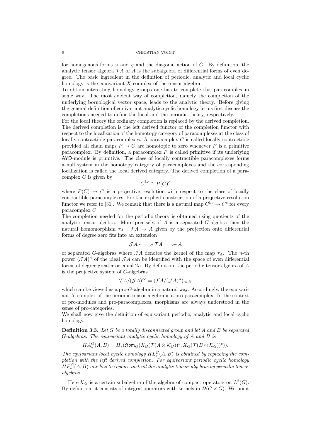#### 6 CHRISTIAN VOIGT

for homogenous forms  $\omega$  and  $\eta$  and the diagonal action of G. By definition, the analytic tensor algebra  $\mathcal{T}A$  of A is the subalgebra of differential forms of even degree. The basic ingredient in the definition of periodic, analytic and local cyclic homology is the equivariant X-complex of the tensor algebra.

To obtain interesting homology groups one has to complete this paracomplex in some way. The most evident way of completion, namely the completion of the underlying bornological vector space, leads to the analytic theory. Before giving the general definition of equivariant analytic cyclic homology let us first discuss the completions needed to define the local and the periodic theory, respectively.

For the local theory the ordinary completion is replaced by the derived completion. The derived completion is the left derived functor of the completion functor with respect to the localization of the homotopy category of paracomplexes at the class of locally contractible paracomplexes. A paracomplex  $C$  is called locally contractible provided all chain maps  $P \to C$  are homotopic to zero whenever P is a primitive paracomplex. By definition, a paracomplex  $P$  is called primitive if its underlying AYD-module is primitive. The class of locally contractible paracomplexes forms a null system in the homotopy category of paracomplexes and the corresponding localization is called the local derived category. The derived completion of a paracomplex  $C$  is given by

$$
C^{\mathbb{L}c} \cong P(C)^c
$$

where  $P(C) \rightarrow C$  is a projective resolution with respect to the class of locally contractible paracomplexes. For the explicit construction of a projective resolution functor we refer to [31]. We remark that there is a natural map  $C^{\mathbb{L}c} \to C^c$  for every paracomplex C.

The completion needed for the periodic theory is obtained using quotients of the analytic tensor algebra. More precisely, if  $A$  is a separated  $G$ -algebra then the natural homomorphism  $\tau_A : \mathcal{T}A \to A$  given by the projection onto differential forms of degree zero fits into an extension

$$
\mathcal{J}A \rightarrowtail \mathcal{T}A \longrightarrowtail A
$$

of separated G-algebras where  $\mathcal{J}A$  denotes the kernel of the map  $\tau_A$ . The *n*-th power  $(\mathcal{J}A)^n$  of the ideal  $\mathcal{J}A$  can be identified with the space of even differential forms of degree greater or equal  $2n$ . By definition, the periodic tensor algebra of  $A$ is the projective system of G-algebras

$$
\mathcal{T}A/(\mathcal{J}A)^{\infty} = (\mathcal{T}A/(\mathcal{J}A)^{n})_{n \in \mathbb{N}}
$$

which can be viewed as a pro- $G$ -algebra in a natural way. Accordingly, the equivariant X-complex of the periodic tensor algebra is a pro-paracomplex. In the context of pro-modules and pro-paracomplexes, morphisms are always understood in the sense of pro-categories.

We shall now give the definition of equivariant periodic, analytic and local cyclic homology.

**Definition 3.3.** Let  $G$  be a totally disconnected group and let  $A$  and  $B$  be separated G-algebras. The equivariant analytic cyclic homology of A and B is

$$
HA_*^G(A, B) = H_*(\mathfrak{Hom}_G(X_G(\mathcal{T}(A \otimes \mathcal{K}_G))^c, X_G(\mathcal{T}(B \otimes \mathcal{K}_G))^c)).
$$

The equivariant local cyclic homology  $HL_*^G(A, B)$  is obtained by replacing the completion with the left derived completion. For equivariant periodic cyclic homology  $HP^G_\ast(A, B)$  one has to replace instead the analytic tensor algebras by periodic tensor algebras.

Here  $\mathcal{K}_G$  is a certain subalgebra of the algebra of compact operators on  $L^2(G)$ . By definition, it consists of integral operators with kernels in  $\mathcal{D}(G \times G)$ . We point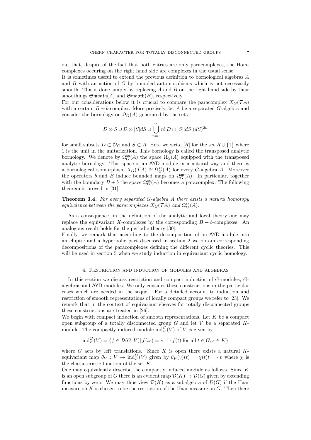out that, despite of the fact that both entries are only paracomplexes, the Homcomplexes occuring on the right hand side are complexes in the usual sense.

It is sometimes useful to extend the previous definition to bornological algebras A and  $B$  with an action of  $G$  by bounded automorphisms which is not necessarily smooth. This is done simply by replacing  $A$  and  $B$  on the right hand side by their smoothings  $\mathfrak{Smod}(\mathfrak{A})$  and  $\mathfrak{Smod}(\mathfrak{B})$ , respectively.

For our considerations below it is crucial to compare the paracomplex  $X_G(\mathcal{T} A)$ with a certain  $B + b$ -complex. More precisely, let A be a separated G-algebra and consider the bornology on  $\Omega_G(A)$  generated by the sets

$$
D \otimes S \cup D \otimes [S]dS \cup \bigcup_{n=1}^{\infty} n! D \otimes [S][dS](dS)^{2n}
$$

for small subsets  $D \subset \mathcal{O}_G$  and  $S \subset A$ . Here we write  $[R]$  for the set  $R \cup \{1\}$  where 1 is the unit in the unitarization. This bornology is called the transposed analytic bornology. We denote by  $\Omega_G^{\text{an}}(A)$  the space  $\Omega_G(A)$  equipped with the transposed analytic bornology. This space is an AYD-module in a natural way and there is a bornological isomorphism  $X_G(\mathcal{T} A) \cong \Omega_G^{\mathsf{an}}(A)$  for every G-algebra A. Moreover the operators b and B induce bounded maps on  $\Omega_G^{\text{an}}(A)$ . In particular, together with the boundary  $B + b$  the space  $\Omega_G^{\text{an}}(A)$  becomes a paracomplex. The following theorem is proved in [31].

**Theorem 3.4.** For every separated  $G$ -algebra  $A$  there exists a natural homotopy equivalence between the paracomplexes  $X_G(\mathcal{T} A)$  and  $\Omega_G^{\mathsf{an}}(A)$ .

As a consequence, in the definition of the analytic and local theory one may replace the equivariant X-complexes by the corresponding  $B + b$ -complexes. An analogous result holds for the periodic theory [30].

Finally, we remark that according to the decomposition of an AYD-module into an elliptic and a hyperbolic part discussed in section 2 we obtain corresponding decompositions of the paracomplexes defining the different cyclic theories. This will be used in section 5 when we study induction in equivariant cyclic homology.

## 4. Restriction and induction of modules and algebras

In this section we discuss restriction and compact induction of G-modules, Galgebras and AYD-modules. We only consider these constructions in the particular cases which are needed in the sequel. For a detailed account to induction and restriction of smooth representations of locally compact groups we refer to [23]. We remark that in the context of equivariant sheaves for totally disconnected groups these constructions are treated in [26].

We begin with compact induction of smooth representations. Let  $K$  be a compact open subgroup of a totally disconnected group  $G$  and let  $V$  be a separated  $K$ module. The compactly induced module  $\text{ind}_{K}^{G}(V)$  of V is given by

$$
ind_K^G(V) = \{ f \in \mathcal{D}(G, V) | f(ts) = s^{-1} \cdot f(t) \text{ for all } t \in G, s \in K \}
$$

where  $G$  acts by left translations. Since  $K$  is open there exists a natural  $K$ equivariant map  $\theta_V : V \to \text{ind}_K^G(V)$  given by  $\theta_V(v)(t) = \chi(t)t^{-1} \cdot v$  where  $\chi$  is the characteristic function of the set K.

One may equivalently describe the compactly induced module as follows. Since K is an open subgroup of G there is an evident map  $\mathcal{D}(K) \to \mathcal{D}(G)$  given by extending functions by zero. We may thus view  $\mathcal{D}(K)$  as a subalgebra of  $D(G)$  if the Haar measure on  $K$  is chosen to be the restriction of the Haar measure on  $G$ . Then there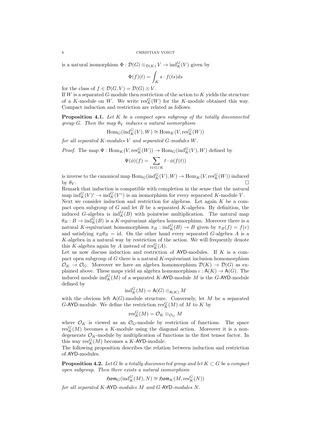is a natural isomorphism  $\Phi : \mathcal{D}(G) \otimes_{\mathcal{D}(K)} V \to \text{ind}_{K}^{G}(V)$  given by

$$
\Phi(f)(t) = \int_K s \cdot f(ts) ds
$$

for the class of  $f \in \mathcal{D}(G, V) = \mathcal{D}(G) \otimes V$ .

If  $W$  is a separated  $G$ -module then restriction of the action to  $K$  yields the structure of a K-module on W. We write  $res_K^G(W)$  for the K-module obtained this way. Compact induction and restriction are related as follows.

**Proposition 4.1.** Let  $K$  be a compact open subgroup of the totally disconnected group G. Then the map  $\theta_V$  induces a natural isomorphism

$$
\text{Hom}_G(\text{ind}_K^G(V), W) \cong \text{Hom}_K(V, \text{res}_K^G(W))
$$

for all separated K-modules V and separated G-modules W.

*Proof.* The map  $\Psi : \text{Hom}_K(V, \text{res}_K^G(W)) \to \text{Hom}_G(\text{ind}_K^G(V), W)$  defined by

$$
\Psi(\phi)(f)=\sum_{t\in G/K}t\cdot\phi(f(t))
$$

is inverse to the canonical map  $\text{Hom}_G(\text{ind}_K^G(V), W) \to \text{Hom}_K(V, \text{res}_K^G(W))$  induced by  $\theta_V$ .

Remark that induction is compatible with completion in the sense that the natural map  $\text{ind}_{K}^{G}(V)^{c} \to \text{ind}_{K}^{G}(V^{c})$  is an isomorphism for every separated K-module V. Next we consider induction and restriction for algebras. Let again  $K$  be a compact open subgroup of  $G$  and let  $B$  be a separated  $K$ -algebra. By definition, the induced G-algebra is  $\text{ind}_{K}^{G}(B)$  with pointwise multiplication. The natural map  $\theta_B : B \to \text{ind}_K^G(B)$  is a K-equivariant algebra homomorphism. Moreover there is a natural K-equivariant homomorphism  $\pi_B : \text{ind}_K^G(B) \to B$  given by  $\pi_B(f) = f(e)$ and satisfying  $\pi_B \theta_B = id$ . On the other hand every separated G-algebra A is a K-algebra in a natural way by restriction of the action. We will frequently denote this K-algebra again by A instead of  $\operatorname{res}^G_K(A)$ .

Let us now discuss induction and restriction of  ${\sf AYD\text{-}modules}$ . If  $K$  is a compact open subgroup of  $G$  there is a natural  $K$ -equivariant inclusion homomorphism  $\mathcal{O}_K \to \mathcal{O}_G$ . Moreover we have an algebra homomorphism  $\mathcal{D}(K) \to \mathcal{D}(G)$  as explained above. These maps yield an algebra homomorphism  $\iota : \mathsf{A}(K) \to \mathsf{A}(G)$ . The induced module  $\text{ind}_{K}^{G}(M)$  of a separated K-AYD-module M is the G-AYD-module defined by

$$
\mathrm{ind}_K^G(M) = \mathsf{A}(G) \otimes_{\mathsf{A}(K)} M
$$

with the obvious left  $A(G)$ -module structure. Conversely, let M be a separated G-AYD-module. We define the restriction  $\operatorname{res}^G_K(M)$  of M to K by

$$
\text{res}^G_K(M) = \mathcal{O}_K \otimes_{\mathcal{O}_G} M
$$

where  $\mathcal{O}_K$  is viewed as an  $\mathcal{O}_G$ -module by restriction of functions. The space  $res_K^G(M)$  becomes a K-module using the diagonal action. Moreover it is a nondegenerate  $\mathcal{O}_K$ -module by multiplication of functions in the first tensor factor. In this way  $res_K^G(M)$  becomes a K-AYD-module.

The following proposition describes the relation between induction and restriction of AYD-modules.

**Proposition 4.2.** Let G be a totally disconnected group and let  $K \subset G$  be a compact open subgroup. Then there exists a natural isomorphism

 $\mathfrak{Hom}_G(\text{ind}_K^G(M), N) \cong \mathfrak{Hom}_K(M, \text{res}_K^G(N))$ 

for all separated K-AYD-modules M and G-AYD-modules N.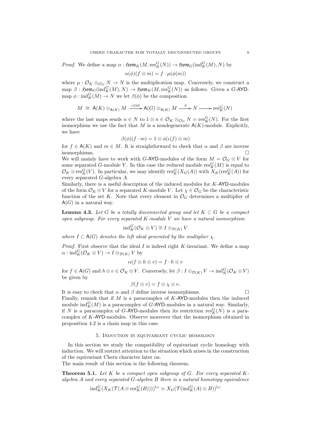*Proof.* We define a map  $\alpha$ :  $\mathfrak{Hom}_K(M, \text{res}_K^G(N)) \to \mathfrak{Hom}_G(\text{ind}_K^G(M), N)$  by

$$
\alpha(\phi)(f \otimes m) = f \cdot \mu(\phi(m))
$$

where  $\mu: \mathcal{O}_K \otimes_{\mathcal{O}_G} N \to N$  is the multiplication map. Conversely, we construct a  $\text{map }\beta:\ \mathfrak{Hom}_G(\text{ind}_K^G(M), N) \rightarrow \mathfrak{Hom}_K(M, \text{res}_K^G(N))$  as follows. Given a G-AYDmap  $\phi: \text{ind}_{K}^{G}(M) \to N$  we let  $\beta(\phi)$  be the composition

$$
M \cong A(K) \otimes_{A(K)} M \xrightarrow{\iota \otimes id} A(G) \otimes_{A(K)} M \xrightarrow{\phi} N \longrightarrow \text{res}^G_K(N)
$$

where the last maps sends  $n \in N$  to  $1 \otimes n \in \mathcal{O}_K \otimes_{\mathcal{O}_G} N = \text{res}^G_K(N)$ . For the first isomorphism we use the fact that M is a nondegenerate  $A(K)$ -module. Explicitly, we have

$$
\beta(\phi)(f \cdot m) = 1 \otimes \phi(\iota(f) \otimes m)
$$

for  $f \in A(K)$  and  $m \in M$ . It is straightforward to check that  $\alpha$  and  $\beta$  are inverse isomorphisms.

We will mainly have to work with G-AYD-modules of the form  $M = \mathcal{O}_G \otimes V$  for some separated G-module V. In this case the reduced module  $res_K^G(M)$  is equal to  $\mathcal{O}_K \otimes \text{res}^G_K(V)$ . In particular, we may identify  $\text{res}^G_K(X_G(A))$  with  $X_K(\text{res}^G_K(A))$  for every separated G-algebra A.

Similarly, there is a useful description of the induced modules for  $K$ -AYD-modules of the form  $\mathcal{O}_K \otimes V$  for a separated K-module V. Let  $\chi \in \mathcal{O}_G$  be the characteristic function of the set K. Note that every element in  $\mathcal{O}_G$  determines a multiplier of  $A(G)$  in a natural way.

**Lemma 4.3.** Let G be a totally disconnected group and let  $K \subset G$  be a compact open subgroup. For every separated  $K$ -module  $V$  we have a natural isomorphism

$$
\mathrm{ind}_{K}^{G}(\mathcal{O}_{K}\otimes V)\cong I\otimes_{\mathcal{D}(K)}V
$$

where  $I \subset A(G)$  denotes the left ideal generated by the multiplier  $\chi$ .

*Proof.* First observe that the ideal  $I$  is indeed right  $K$ -invariant. We define a map  $\alpha: \operatorname{ind}_{K}^{G}(\mathcal{O}_{K} \otimes V) \to I \otimes_{\mathcal{D}(K)} V$  by

$$
\alpha(f \otimes h \otimes v) = f \cdot h \otimes v
$$

for  $f \in \mathsf{A}(G)$  and  $h \otimes v \in \mathcal{O}_K \otimes V$ . Conversely, let  $\beta: I \otimes_{\mathcal{D}(K)} V \to \text{ind}_K^G(\mathcal{O}_K \otimes V)$ be given by

$$
\beta(f \otimes v) = f \otimes \chi \otimes v.
$$

It is easy to check that  $\alpha$  and  $\beta$  define inverse isomorphisms. Finally, remark that if  $M$  is a paracomplex of  $K$ -AYD-modules then the induced module  $\text{ind}_{K}^{G}(M)$  is a paracomplex of G-AYD-modules in a natural way. Similarly, if N is a paracomplex of G-AYD-modules then its restriction  $res_K^G(N)$  is a paracomplex of K-AYD-modules. Observe moreover that the isomorphism obtained in proposition 4.2 is a chain map in this case.

## 5. Induction in equivariant cyclic homology

In this section we study the compatibility of equivariant cyclic homology with induction. We will restrict attention to the situation which arises in the construction of the equivariant Chern character later on.

The main result of this section is the following theorem.

**Theorem 5.1.** Let K be a compact open subgroup of G. For every separated Kalgebra  $A$  and every separated  $G$ -algebra  $B$  there is a natural homotopy equivalence

$$
\mathrm{ind}_K^G(X_K(\mathcal{T}(A\otimes \mathrm{res}^G_K(B))))^{\mathbb{L}c} \simeq X_G(\mathcal{T}(\mathrm{ind}_K^G(A)\otimes B))^{\mathbb{L}c}
$$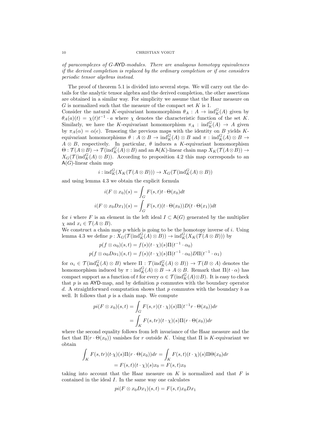of paracomplexes of G-AYD-modules. There are analogous homotopy equivalences if the derived completion is replaced by the ordinary completion or if one considers periodic tensor algebras instead.

The proof of theorem 5.1 is divided into several steps. We will carry out the details for the analytic tensor algebra and the derived completion, the other assertions are obtained in a similar way. For simplicity we assume that the Haar measure on  $G$  is normalized such that the measure of the compact set  $K$  is 1.

Consider the natural K-equivariant homomorphism  $\theta_A : A \to \text{ind}_K^G(A)$  given by  $\theta_A(a)(t) = \chi(t)t^{-1} \cdot a$  where  $\chi$  denotes the characteristic function of the set K. Similarly, we have the K-equivariant homomorphism  $\pi_A : \text{ind}_K^G(A) \to A$  given by  $\pi_A(\alpha) = \alpha(e)$ . Tensoring the previous maps with the identity on B yields Kequivariant homomorphisms  $\theta : A \otimes B \to \text{ind}_{K}^{G}(A) \otimes B$  and  $\pi : \text{ind}_{K}^{G}(A) \otimes B \to$  $A \otimes B$ , respectively. In particular,  $\theta$  induces a K-equivariant homomorphism  $\Theta: \mathcal{T}(A\otimes B)\to \mathcal{T}(\mathrm{ind}_K^G(A)\otimes B)$  and an  $\mathsf{A}(K)$ -linear chain map  $X_K(\mathcal{T}(A\otimes B))\to$  $X_G(\mathcal{T}(\text{ind}_K^G(A) \otimes B))$ . According to proposition 4.2 this map corresponds to an  $A(G)$ -linear chain map

$$
i: \mathrm{ind}_K^G(X_K(\mathcal{T}(A \otimes B))) \to X_G(\mathcal{T}(\mathrm{ind}_K^G(A) \otimes B))
$$

and using lemma 4.3 we obtain the explicit formula

$$
i(F \otimes x_0)(s) = \int_G F(s, t)t \cdot \Theta(x_0) dt
$$

$$
i(F \otimes x_0 Dx_1)(s) = \int_G F(s, t)(t \cdot \Theta(x_0)) D(t \cdot \Theta(x_1)) dt
$$

for i where F is an element in the left ideal  $I \subset A(G)$  generated by the multiplier  $\chi$  and  $x_i \in \mathcal{T}(A \otimes B)$ .

We construct a chain map  $p$  which is going to be the homotopy inverse of  $i$ . Using lemma 4.3 we define  $p: X_G(\mathcal{T}(\text{ind}_K^G(A) \otimes B)) \to \text{ind}_K^G(X_K(\mathcal{T}(A \otimes B)))$  by

$$
p(f \otimes \alpha_0)(s,t) = f(s)(t \cdot \chi)(s)\Pi(t^{-1} \cdot \alpha_0)
$$

$$
p(f \otimes \alpha_0 D\alpha_1)(s,t) = f(s)(t \cdot \chi)(s)\Pi(t^{-1} \cdot \alpha_0)D\Pi(t^{-1} \cdot \alpha_1)
$$

for  $\alpha_i \in \mathcal{T}(\text{ind}_K^G(A) \otimes B)$  where  $\Pi : \mathcal{T}(\text{ind}_K^G(A) \otimes B)) \to \mathcal{T}(B \otimes A)$  denotes the homomorphism induced by  $\pi$  :  $\text{ind}_{K}^{G}(A) \otimes B \to A \otimes B$ . Remark that  $\Pi(t \cdot \alpha)$  has compact support as a function of t for every  $\alpha \in \mathcal{T}(\text{ind}_{K}^{G}(A) \otimes B)$ . It is easy to check that  $p$  is an AYD-map, and by definition  $p$  commutes with the boundary operator d. A straightforward computation shows that  $p$  commutes with the boundary  $b$  as well. It follows that  $p$  is a chain map. We compute

$$
pi(F \otimes x_0)(s,t) = \int_G F(s,r)(t \cdot \chi)(s)\Pi(t^{-1}r \cdot \Theta(x_0))dr
$$
  
= 
$$
\int_K F(s, tr)(t \cdot \chi)(s)\Pi(r \cdot \Theta(x_0))dr
$$

where the second equality follows from left invariance of the Haar measure and the fact that  $\Pi(r \cdot \Theta(x_0))$  vanishes for r outside K. Using that  $\Pi$  is K-equivariant we obtain

$$
\int_{K} F(s, tr)(t \cdot \chi)(s) \Pi(r \cdot \Theta(x_0)) dr = \int_{K} F(s, t)(t \cdot \chi)(s) \Pi \Theta(x_0) dr
$$

$$
= F(s, t)(t \cdot \chi)(s) x_0 = F(s, t) x_0
$$

taking into account that the Haar measure on  $K$  is normalized and that  $F$  is contained in the ideal I. In the same way one calculates

$$
pi(F \otimes x_0 D x_1)(s,t) = F(s,t)x_0 D x_1
$$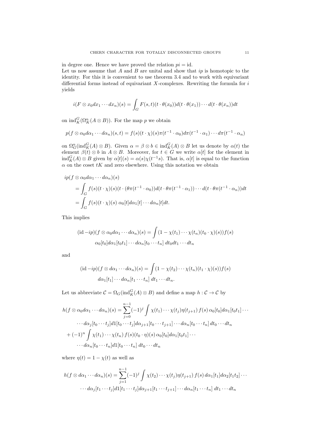in degree one. Hence we have proved the relation  $pi = id$ . Let us now assume that  $A$  and  $B$  are unital and show that  $ip$  is homotopic to the identity. For this it is convenient to use theorem 3.4 and to work with equivariant differential forms instead of equivariant  $X$ -complexes. Rewriting the formula for  $i$ yields

$$
i(F \otimes x_0 dx_1 \cdots dx_n)(s) = \int_G F(s,t)(t \cdot \theta(x_0))d(t \cdot \theta(x_1)) \cdots d(t \cdot \theta(x_n))dt
$$

on  $\text{ind}_{K}^{G}(\Omega_{K}^{n}(A \otimes B)).$  For the map p we obtain

$$
p(f \otimes \alpha_0 d\alpha_1 \cdots d\alpha_n)(s,t) = f(s)(t \cdot \chi)(s)\pi(t^{-1} \cdot \alpha_0)d\pi(t^{-1} \cdot \alpha_1) \cdots d\pi(t^{-1} \cdot \alpha_n)
$$

on  $\Omega_G^n(\text{ind}_K^G(A) \otimes B)$ . Given  $\alpha = \beta \otimes b \in \text{ind}_K^G(A) \otimes B$  let us denote by  $\alpha(t)$  the element  $\beta(t) \otimes b$  in  $A \otimes B$ . Moreover, for  $t \in G$  we write  $\alpha[t]$  for the element in  $\text{ind}_{K}^{G}(A) \otimes B$  given by  $\alpha[t](s) = \alpha(s)\chi(t^{-1}s)$ . That is,  $\alpha[t]$  is equal to the function  $\alpha$  on the coset tK and zero elsewhere. Using this notation we obtain

$$
ip(f \otimes \alpha_0 d\alpha_1 \cdots d\alpha_n)(s)
$$
  
= 
$$
\int_G f(s)(t \cdot \chi)(s)(t \cdot (\theta \pi(t^{-1} \cdot \alpha_0))d(t \cdot \theta \pi(t^{-1} \cdot \alpha_1)) \cdots d(t \cdot \theta \pi(t^{-1} \cdot \alpha_n))dt
$$
  
= 
$$
\int_G f(s)(t \cdot \chi)(s) \alpha_0[t]d\alpha_1[t] \cdots d\alpha_n[t]dt.
$$

This implies

$$
(\mathrm{id} - ip)(f \otimes \alpha_0 d\alpha_1 \cdots d\alpha_n)(s) = \int (1 - \chi(t_1) \cdots \chi(t_n)(t_0 \cdot \chi)(s)) f(s)
$$

$$
\alpha_0[t_0] d\alpha_1[t_0 t_1] \cdots d\alpha_n[t_0 \cdots t_n] dt_0 dt_1 \cdots dt_n
$$

and

$$
(\mathrm{id} - ip)(f \otimes d\alpha_1 \cdots d\alpha_n)(s) = \int (1 - \chi(t_2) \cdots \chi(t_n)(t_1 \cdot \chi)(s)) f(s)
$$

$$
d\alpha_1[t_1] \cdots d\alpha_n[t_1 \cdots t_n] dt_1 \cdots dt_n.
$$

Let us abbreviate  $C = \Omega_G(\text{ind}_K^G(A) \otimes B)$  and define a map  $h: C \to C$  by

$$
h(f \otimes \alpha_0 d\alpha_1 \cdots d\alpha_n)(s) = \sum_{j=0}^{n-1} (-1)^j \int \chi(t_1) \cdots \chi(t_j) \eta(t_{j+1}) f(s) \alpha_0[t_0] d\alpha_1[t_0 t_1] \cdots
$$
  

$$
\cdots d\alpha_j[t_0 \cdots t_j] d1[t_0 \cdots t_j] d\alpha_{j+1}[t_0 \cdots t_{j+1}] \cdots d\alpha_n[t_0 \cdots t_n] dt_0 \cdots dt_n
$$
  

$$
+ (-1)^n \int \chi(t_1) \cdots \chi(t_n) f(s) (t_0 \cdot \eta)(s) \alpha_0[t_0] d\alpha_1[t_0 t_1] \cdots
$$
  

$$
\cdots d\alpha_n[t_0 \cdots t_n] d1[t_0 \cdots t_n] dt_0 \cdots dt_n
$$

where  $\eta(t) = 1 - \chi(t)$  as well as

$$
h(f \otimes d\alpha_1 \cdots d\alpha_n)(s) = \sum_{j=1}^{n-1} (-1)^j \int \chi(t_2) \cdots \chi(t_j) \eta(t_{j+1}) f(s) d\alpha_1[t_1] d\alpha_2[t_1t_2] \cdots
$$

$$
\cdots d\alpha_j[t_1 \cdots t_j] d1[t_1 \cdots t_j] d\alpha_{j+1}[t_1 \cdots t_{j+1}] \cdots d\alpha_n[t_1 \cdots t_n] dt_1 \cdots dt_n
$$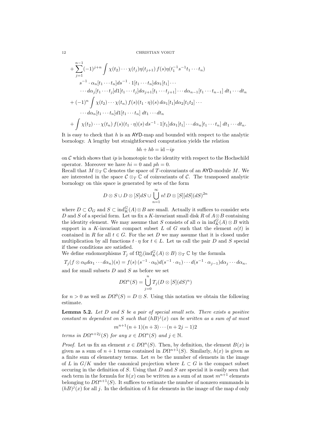12 CHRISTIAN VOIGT

+
$$
\sum_{j=1}^{n-1}(-1)^{j+n}\int \chi(t_2)\cdots\chi(t_j)\eta(t_{j+1})f(s)\eta(t_1^{-1}s^{-1}t_1\cdots t_n)
$$
  
\n
$$
s^{-1}\cdot\alpha_n[t_1\cdots t_n]ds^{-1}\cdot1[t_1\cdots t_n]d\alpha_1[t_1]\cdots
$$
  
\n
$$
\cdots d\alpha_j[t_1\cdots t_j]d1[t_1\cdots t_j]d\alpha_{j+1}[t_1\cdots t_{j+1}]\cdots d\alpha_{n-1}[t_1\cdots t_{n-1}]dt_1\cdots dt_n
$$
  
\n+
$$
(-1)^n\int \chi(t_2)\cdots\chi(t_n)\,f(s)(t_1\cdot\eta)(s)\,d\alpha_1[t_1]d\alpha_2[t_1t_2]\cdots
$$
  
\n
$$
\cdots d\alpha_n[t_1\cdots t_n]d1[t_1\cdots t_n]dt_1\cdots dt_n
$$
  
\n+
$$
\int \chi(t_2)\cdots\chi(t_n)\,f(s)(t_1\cdot\eta)(s)\,ds^{-1}\cdot1[t_1]d\alpha_1[t_1]\cdots d\alpha_n[t_1\cdots t_n]dt_1\cdots dt_n.
$$

It is easy to check that  $h$  is an AYD-map and bounded with respect to the analytic bornology. A lengthy but straightforward computation yields the relation

$$
bh + hb = id - ip
$$

on  $\mathcal C$  which shows that ip is homotopic to the identity with respect to the Hochschild operator. Moreover we have  $hi = 0$  and  $ph = 0$ .

Recall that  $M \otimes_T \mathbb{C}$  denotes the space of T-coinvariants of an AYD-module M. We are interested in the space  $\mathcal{C} \otimes_T \mathbb{C}$  of coinvariants of C. The transposed analytic bornology on this space is generated by sets of the form

$$
D \otimes S \cup D \otimes [S]dS \cup \bigcup_{n=1}^{\infty} n! D \otimes [S][dS](dS)^{2n}
$$

where  $D \subset \mathcal{O}_G$  and  $S \subset \text{ind}_K^G(A) \otimes B$  are small. Actually it suffices to consider sets D and S of a special form. Let us fix a K-invariant small disk R of  $A \otimes B$  containing the identity element. We may assume that S consists of all  $\alpha$  in  $\text{ind}_{K}^{G}(A) \otimes B$  with support in a K-invariant compact subset L of G such that the element  $\alpha(t)$  is contained in R for all  $t \in G$ . For the set D we may assume that it is closed under multiplication by all functions  $t \cdot \eta$  for  $t \in L$ . Let us call the pair D and S special if these conditions are satisfied.

We define endomorphisms  $T_j$  of  $\Omega_G^n(\text{ind}_K^G(A) \otimes B) \otimes_T \mathbb{C}$  by the formula

 $T_j(f \otimes \alpha_0 d\alpha_1 \cdots d\alpha_n)(s) = f(s) (s^{-1} \cdot \alpha_0) d(s^{-1} \cdot \alpha_1) \cdots d(s^{-1} \cdot \alpha_{j-1}) d\alpha_j \cdots d\alpha_n,$ and for small subsets  $D$  and  $S$  as before we set

$$
D\Omega^{n}(S) = \bigcup_{j=0}^{n} T_{j}(D \otimes [S](dS)^{n})
$$

for  $n > 0$  as well as  $D\Omega^{0}(S) = D \otimes S$ . Using this notation we obtain the following estimate.

**Lemma 5.2.** Let  $D$  and  $S$  be a pair of special small sets. There exists a positive constant m dependent on S such that  $(hB)^{j}(x)$  can be written as a sum of at most

$$
m^{n+1}(n+1)(n+3)\cdots(n+2j-1)2
$$

terms in  $D\Omega^{n+2j}(S)$  for any  $x \in D\Omega^n(S)$  and  $j \in \mathbb{N}$ .

*Proof.* Let us fix an element  $x \in D\Omega^n(S)$ . Then, by definition, the element  $B(x)$  is given as a sum of  $n+1$  terms contained in  $D\Omega^{n+1}(S)$ . Similarly,  $h(x)$  is given as a finite sum of elementary terms. Let  $m$  be the number of elements in the image of L in  $G/K$  under the canonical projection where  $L \subset G$  is the compact subset occuring in the definition of S. Using that  $D$  and  $S$  are special it is easily seen that each term in the formula for  $h(x)$  can be written as a sum of at most  $m^{n+1}$  elements belonging to  $D\Omega^{n+1}(S)$ . It suffices to estimate the number of nonzero summands in  $(hB)^{j}(x)$  for all j. In the definition of h for elements in the image of the map d only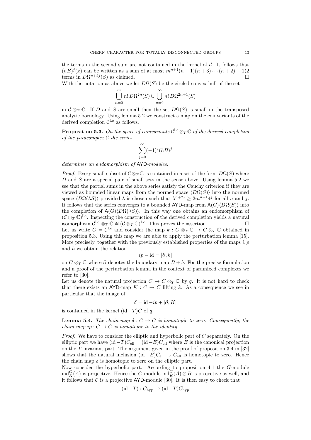the terms in the second sum are not contained in the kernel of  $d$ . It follows that  $(hB)^{j}(x)$  can be written as a sum of at most  $m^{n+1}(n+1)(n+3)\cdots(n+2j-1)2$ terms in  $D\Omega^{n+2j}(S)$  as claimed.

With the notation as above we let  $D\Omega(S)$  be the circled convex hull of the set

$$
\bigcup_{n=0}^{\infty} n! D\Omega^{2n}(S) \cup \bigcup_{n=0}^{\infty} n! D\Omega^{2n+1}(S)
$$

in  $\mathcal{C} \otimes_T \mathbb{C}$ . If D and S are small then the set  $D\Omega(S)$  is small in the transposed analytic bornology. Using lemma 5.2 we construct a map on the coinvariants of the derived completion  $\mathcal{C}^{\mathbb{L}c}$  as follows.

**Proposition 5.3.** On the space of coinvariants  $\mathcal{C}^{\mathbb{L}c} \otimes_T \mathbb{C}$  of the derived completion of the paracomplex  $\mathcal C$  the series

$$
\sum_{j=0}^{\infty} (-1)^j (hB)^j
$$

determines an endomorphism of AYD-modules.

*Proof.* Every small subset of  $\mathcal{C} \otimes_{\mathcal{T}} \mathbb{C}$  is contained in a set of the form  $D\Omega(S)$  where  $D$  and  $S$  are a special pair of small sets in the sense above. Using lemma 5.2 we see that the partial sums in the above series satisfy the Cauchy criterion if they are viewed as bounded linear maps from the normed space  $\langle D\Omega(S)\rangle$  into the normed space  $\langle D\Omega(\lambda S)\rangle$  provided  $\lambda$  is chosen such that  $\lambda^{n+2j} \geq 2m^{n+1}4^j$  for all n and j. It follows that the series converges to a bounded AYD-map from  $A(G)\langle D\Omega(S)\rangle$  into the completion of  $A(G)\langle D\Omega(\lambda S)\rangle$ . In this way one obtains an endomorphism of  $(C \otimes_T \mathbb{C})^{\mathbb{L}c}$ . Inspecting the construction of the derived completion yields a natural isomorphism  $\mathcal{C}^{\mathbb{L}c} \otimes_T \mathbb{C} \cong (\mathcal{C} \otimes_T \mathbb{C})^{\mathbb{L}c}$ . This proves the assertion. Let us write  $C = \overline{C}^{\mathbb{L}c}$  and consider the map  $k : C \otimes_T \mathbb{C} \to C \otimes_T \mathbb{C}$  obtained in proposition 5.3. Using this map we are able to apply the perturbation lemma [15]. More precisely, together with the previously established properties of the maps  $i, p$ and  $h$  we obtain the relation

$$
ip - id = [\partial, k]
$$

on  $C \otimes_T \mathbb{C}$  where  $\partial$  denotes the boundary map  $B + b$ . For the precise formulation and a proof of the perturbation lemma in the context of paramixed complexes we refer to [30].

Let us denote the natural projection  $C \to C \otimes_T \mathbb{C}$  by q. It is not hard to check that there exists an AYD-map  $K: C \to C$  lifting k. As a consequence we see in particular that the image of

$$
\delta = id - ip + [\partial, K]
$$

is contained in the kernel (id  $-T$ )C of q.

**Lemma 5.4.** The chain map  $\delta: C \to C$  is homotopic to zero. Consequently, the chain map ip :  $C \rightarrow C$  is homotopic to the identity.

*Proof.* We have to consider the elliptic and hyperbolic part of  $C$  separately. On the elliptic part we have  $(id - T)C_{ell} = (id - E)C_{ell}$  where E is the canonical projection on the T-invariant part. The argument given in the proof of proposition 3.4 in [32] shows that the natural inclusion (id  $-E$ ) $C_{\text{ell}} \rightarrow C_{\text{ell}}$  is homotopic to zero. Hence the chain map  $\delta$  is homotopic to zero on the elliptic part.

Now consider the hyperbolic part. According to proposition 4.1 the G-module  $\text{ind}_{K}^{G}(A)$  is projective. Hence the G-module  $\text{ind}_{K}^{G}(A) \otimes B$  is projective as well, and it follows that  $C$  is a projective AYD-module [30]. It is then easy to check that

$$
(\mathrm{id} - T) : C_{\mathrm{hyp}} \to (\mathrm{id} - T)C_{\mathrm{hyp}}
$$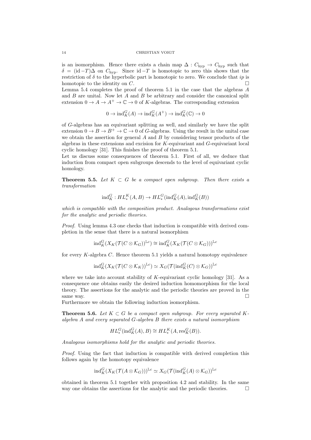is an isomorphism. Hence there exists a chain map  $\Delta: C_{\text{hyp}} \to C_{\text{hyp}}$  such that  $\delta = (\text{id} - T)\Delta$  on  $C_{\text{hvp}}$ . Since  $\text{id} - T$  is homotopic to zero this shows that the restriction of  $\delta$  to the hyperbolic part is homotopic to zero. We conclude that ip is homotopic to the identity on  $C$ .

Lemma 5.4 completes the proof of theorem 5.1 in the case that the algebras  $A$ and  $B$  are unital. Now let  $A$  and  $B$  be arbitrary and consider the canonical split extension  $0 \to A \to A^+ \to \mathbb{C} \to 0$  of K-algebras. The corresponding extension

 $0 \to \text{ind}_{K}^{G}(A) \to \text{ind}_{K}^{G}(A^{+}) \to \text{ind}_{K}^{G}(\mathbb{C}) \to 0$ 

of G-algebras has an equivariant splitting as well, and similarly we have the split extension  $0 \to B \to B^+ \to \mathbb{C} \to 0$  of G-algebras. Using the result in the unital case we obtain the assertion for general  $A$  and  $B$  by considering tensor products of the algebras in these extensions and excision for K-equivariant and G-equivariant local cyclic homology [31]. This finishes the proof of theorem 5.1.

Let us discuss some consequences of theorem 5.1. First of all, we deduce that induction from compact open subgroups descends to the level of equivariant cyclic homology.

**Theorem 5.5.** Let  $K \subset G$  be a compact open subgroup. Then there exists a transformation

$$
\mathrm{ind}_{K}^{G}:HL_{*}^{K}(A,B)\rightarrow HL_{*}^{G}(\mathrm{ind}_{K}^{G}(A),\mathrm{ind}_{K}^{G}(B))
$$

which is compatible with the composition product. Analogous transformations exist for the analytic and periodic theories.

Proof. Using lemma 4.3 one checks that induction is compatible with derived completion in the sense that there is a natural isomorphism

$$
\mathrm{ind}_K^G(X_K(\mathcal{T}(C\otimes \mathcal{K}_G))^{\mathbb{L}c})\cong \mathrm{ind}_K^G(X_K(\mathcal{T}(C\otimes \mathcal{K}_G)))^{\mathbb{L}c}
$$

for every  $K$ -algebra  $C$ . Hence theorem 5.1 yields a natural homotopy equivalence

$$
\mathrm{ind}_{K}^{G}(X_{K}(\mathcal{T}(C\otimes \mathcal{K}_{K}))^{\mathbb{L}c})\simeq X_{G}(\mathcal{T}(\mathrm{ind}_{K}^{G}(C)\otimes \mathcal{K}_{G}))^{\mathbb{L}c}
$$

where we take into account stability of  $K$ -equivariant cyclic homology [31]. As a consequence one obtains easily the desired induction homomorphism for the local theory. The assertions for the analytic and the periodic theories are proved in the same way.  $\Box$ 

Furthermore we obtain the following induction isomorphism.

**Theorem 5.6.** Let  $K \subset G$  be a compact open subgroup. For every separated Kalgebra A and every separated G-algebra B there exists a natural isomorphism

$$
HL^G_*(\mathrm{ind}_K^G(A), B) \cong HL^K_*(A, \mathrm{res}^G_K(B)).
$$

Analogous isomorphisms hold for the analytic and periodic theories.

Proof. Using the fact that induction is compatible with derived completion this follows again by the homotopy equivalence

$$
ind_K^G(X_K(\mathcal{T}(A\otimes \mathcal{K}_G)))^{\mathbb{L}c} \simeq X_G(\mathcal{T}(ind_K^G(A) \otimes \mathcal{K}_G))^{\mathbb{L}c}
$$

obtained in theorem 5.1 together with proposition 4.2 and stability. In the same way one obtains the assertions for the analytic and the periodic theories.  $\Box$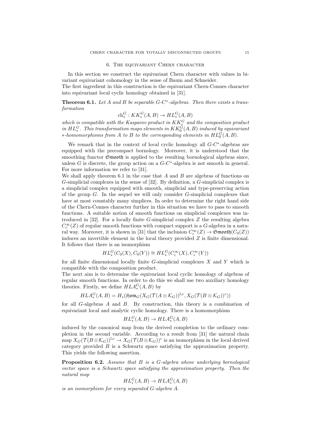#### 6. The equivariant Chern character

In this section we construct the equivariant Chern character with values in bivariant equivariant cohomology in the sense of Baum and Schneider.

The first ingredient in this construction is the equivariant Chern-Connes character into equivariant local cyclic homology obtained in [31].

**Theorem 6.1.** Let A and B be separable  $G-C^*$ -algebras. Then there exists a transformation

# $ch_*^G : KK_*^G(A, B) \to HL_*^G(A, B)$

which is compatible with the Kasparov product in  $KK_*^G$  and the composition product in  $HL^G_*$ . This transformation maps elements in  $KK^G_0(A, B)$  induced by equivariant  $*$ -homomorphisms from A to B to the corresponding elements in  $HL_0^G(A, B)$ .

We remark that in the context of local cyclic homology all  $G-C^*$ -algebras are equipped with the precompact bornology. Moreover, it is understood that the smoothing functor  $\mathfrak{S}$ mooth is applied to the resulting bornological algebras since, unless  $G$  is discrete, the group action on a  $G-C^*$ -algebra is not smooth in general. For more information we refer to [31].

We shall apply theorem 6.1 in the case that  $A$  and  $B$  are algebras of functions on G-simplicial complexes in the sense of [32]. By definition, a G-simplicial complex is a simplicial complex equipped with smooth, simplicial and type-preserving action of the group  $G$ . In the sequel we will only consider  $G$ -simplicial complexes that have at most countably many simplices. In order to determine the right hand side of the Chern-Connes character further in this situation we have to pass to smooth functions. A suitable notion of smooth functions on simplicial complexes was introduced in  $[32]$ . For a locally finite G-simplicial complex Z the resulting algebra  $C_c^{\infty}(Z)$  of regular smooth functions with compact support is a G-algebra in a natural way. Moreover, it is shown in [31] that the inclusion  $C_c^{\infty}(Z) \to \mathfrak{S}$ mooth $(C_0(Z))$ induces an invertible element in the local theory provided Z is finite dimensional. It follows that there is an isomorphism

$$
HL^G_*(C_0(X), C_0(Y)) \cong HL^G_*(C_c^\infty(X), C_c^\infty(Y))
$$

for all finite dimensional locally finite  $G$ -simplicial complexes  $X$  and  $Y$  which is compatible with the composition product.

The next aim is to determine the equivariant local cyclic homology of algebras of regular smooth functions. In order to do this we shall use two auxiliary homology theories. Firstly, we define  $HLA_*^G(A, B)$  by

$$
HLA_*^G(A,B)=H_*(\mathfrak{Hom}_G(X_G(\mathcal{T}(A\otimes \mathcal{K}_G))^{\mathbb{L} c},X_G(\mathcal{T}(B\otimes \mathcal{K}_G))^c))
$$

for all G-algebras A and B. By construction, this theory is a combination of equivariant local and analytic cyclic homology. There is a homomorphism

$$
HL^G_*(A, B) \to HLA^G_*(A, B)
$$

induced by the canonical map from the derived completion to the ordinary completion in the second variable. According to a result from [31] the natural chain  $\limsup X_G(\mathcal{T}(B\otimes \mathcal{K}_G))^{\mathbb{L}_c} \to X_G(\mathcal{T}(B\otimes \mathcal{K}_G))^c$  is an isomorphism in the local derived category provided  $\hat{B}$  is a Schwartz space satisfying the approximation property. This yields the following assertion.

Proposition 6.2. Assume that B is a G-algebra whose underlying bornological vector space is a Schwartz space satisfying the approximation property. Then the natural map

$$
HL^G_*(A, B) \to HLA^G_*(A, B)
$$

is an isomorphism for every separated G-algebra A.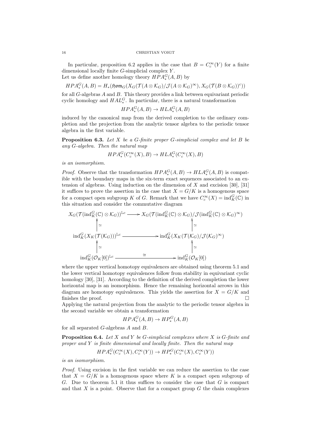#### 16 CHRISTIAN VOIGT

In particular, proposition 6.2 applies in the case that  $B = C_c^{\infty}(Y)$  for a finite dimensional locally finite  $G$ -simplicial complex  $Y$ . Let us define another homology theory  $HPA_*^G(A, B)$  by

 $HPA_*^G(A, B) = H_*(\mathfrak{Hom}_G(X_G(\mathcal{T}(A \otimes \mathcal{K}_G)/\mathcal{J}(A \otimes \mathcal{K}_G)^\infty), X_G(\mathcal{T}(B \otimes \mathcal{K}_G))^c))$ for all  $G$ -algebras  $A$  and  $B$ . This theory provides a link between equivariant periodic cyclic homology and  $HAL<sub>*</sub><sup>G</sup>$ . In particular, there is a natural transformation

 $HPA_*^G(A, B) \to HLA_*^G(A, B)$ 

induced by the canonical map from the derived completion to the ordinary completion and the projection from the analytic tensor algebra to the periodic tensor algebra in the first variable.

**Proposition 6.3.** Let  $X$  be a G-finite proper G-simplicial complex and let  $B$  be any G-algebra. Then the natural map

$$
HPA^G_*(C_c^\infty(X), B) \to HLA^G_*(C_c^\infty(X), B)
$$

is an isomorphism.

*Proof.* Observe that the transformation  $HPA_*^G(A, B) \to HLA_*^G(A, B)$  is compatible with the boundary maps in the six-term exact sequences associated to an extension of algebras. Using induction on the dimension of X and excision [30], [31] it suffices to prove the assertion in the case that  $X = G/K$  is a homogenous space for a compact open subgroup K of G. Remark that we have  $C_c^{\infty}(X) = \text{ind}_{K}^{G}(\mathbb{C})$  in this situation and consider the commutative diagram

$$
X_G(\mathcal{T}(\text{ind}_K^G(\mathbb{C}) \otimes \mathcal{K}_G))^{\mathbb{L}c} \longrightarrow X_G(\mathcal{T}(\text{ind}_K^G(\mathbb{C}) \otimes \mathcal{K}_G)/\mathcal{J}(\text{ind}_K^G(\mathbb{C}) \otimes \mathcal{K}_G)^\infty)
$$
  
\n
$$
\uparrow \simeq \qquad \qquad \uparrow \simeq
$$
  
\n
$$
\text{ind}_K^G(X_K(\mathcal{T}(\mathcal{K}_G)))^{\mathbb{L}c} \longrightarrow \text{ind}_K^G(X_K(\mathcal{T}(\mathcal{K}_G)/\mathcal{J}(\mathcal{K}_G)^\infty)
$$
  
\n
$$
\uparrow \simeq \qquad \qquad \uparrow \simeq
$$
  
\n
$$
\text{ind}_K^G(\mathcal{O}_K[0])^{\mathbb{L}c} \longrightarrow \text{ind}_K^G(\mathcal{O}_K[0])
$$

where the upper vertical homotopy equivalences are obtained using theorem 5.1 and the lower vertical homotopy equivalences follow from stability in equivariant cyclic homology [30], [31]. According to the definition of the derived completion the lower horizontal map is an isomorphism. Hence the remaining horizontal arrows in this diagram are homotopy equivalences. This yields the assertion for  $X = G/K$  and finishes the proof.

Applying the natural projection from the analytic to the periodic tensor algebra in the second variable we obtain a transformation

$$
P A_*^G(A, B) \to H P_*^G(A, B)
$$

for all separated G-algebras A and B.

 $H$ 

**Proposition 6.4.** Let X and Y be G-simplicial complexes where X is G-finite and proper and  $Y$  is finite dimensional and locally finite. Then the natural map

$$
HPA^G_*(C_c^\infty(X), C_c^\infty(Y)) \to HP^G_*(C_c^\infty(X), C_c^\infty(Y))
$$

is an isomorphism.

Proof. Using excision in the first variable we can reduce the assertion to the case that  $X = G/K$  is a homogenous space where K is a compact open subgroup of G. Due to theorem 5.1 it thus suffices to consider the case that  $G$  is compact and that  $X$  is a point. Observe that for a compact group  $G$  the chain complexes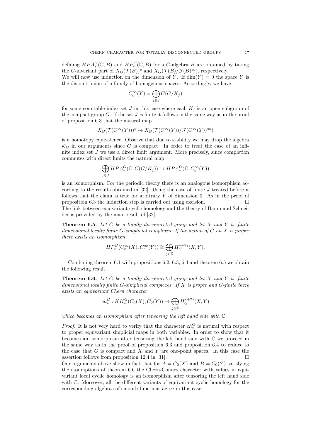defining  $HPA_*^G(\mathbb{C}, B)$  and  $HP_*^G(\mathbb{C}, B)$  for a G-algebra B are obtained by taking the G-invariant part of  $X_G(\mathcal{T}(B))^c$  and  $X_G(\mathcal{T}(B)/\mathcal{J}(B)^\infty)$ , respectively. We will now use induction on the dimension of Y. If  $\dim(Y) = 0$  the space Y is the disjoint union of a family of homogenous spaces. Accordingly, we have

$$
C_c^{\infty}(Y) = \bigoplus_{j \in J} C(G/K_j)
$$

for some countable index set J in this case where each  $K_j$  is an open subgroup of the compact group  $G$ . If the set  $J$  is finite it follows in the same way as in the proof of proposition 6.3 that the natural map

$$
X_G(\mathcal{T}(C^{\infty}(Y)))^c \to X_G(\mathcal{T}(C^{\infty}(Y))/\mathcal{J}(C^{\infty}(Y))^{\infty})
$$

is a homotopy equivalence. Observe that due to stability we may drop the algebra  $\mathcal{K}_G$  in our arguments since G is compact. In order to treat the case of an infinite index set J we use a direct limit argument. More precisely, since completion commutes with direct limits the natural map

$$
\bigoplus_{j\in J} HPA_*^G(\mathbb{C}, C(G/K_j)) \to HPA_*^G(\mathbb{C}, C_c^\infty(Y))
$$

is an isomorphism. For the periodic theory there is an analogous isomorphism according to the results obtained in  $[32]$ . Using the case of finite J treated before it follows that the claim is true for arbitrary  $Y$  of dimension 0. As in the proof of proposition 6.3 the induction step is carried out using excision.  $\Box$ The link between equivariant cyclic homology and the theory of Baum and Schneider is provided by the main result of [32].

**Theorem 6.5.** Let  $G$  be a totally disconnected group and let  $X$  and  $Y$  be finite dimensional locally finite  $G$ -simplicial complexes. If the action of  $G$  on  $X$  is proper there exists an isomorphism

$$
HP^G_*(C_c^\infty(X), C_c^\infty(Y)) \cong \bigoplus_{j \in \mathbb{Z}} H^{s+2j}_G(X, Y).
$$

Combining theorem 6.1 with propositions 6.2, 6.3, 6.4 and theorem 6.5 we obtain the following result.

**Theorem 6.6.** Let G be a totally disconnected group and let X and Y be finite dimensional locally finite G-simplicial complexes. If  $X$  is proper and G-finite there exists an equivariant Chern character

$$
ch^G_* : KK^G_*(C_0(X), C_0(Y)) \to \bigoplus_{j \in \mathbb{Z}} H^{*+2j}_G(X, Y)
$$

which becomes an isomorphism after tensoring the left hand side with C.

*Proof.* It is not very hard to verify that the character  $ch_*^G$  is natural with respect to proper equivariant simplicial maps in both variables. In order to show that it becomes an isomorphism after tensoring the left hand side with C we proceed in the same way as in the proof of proposition 6.3 and proposition 6.4 to reduce to the case that  $G$  is compact and  $X$  and  $Y$  are one-point spaces. In this case the assertion follows from proposition 12.4 in [31].

Our arguments above show in fact that for  $A = C_0(X)$  and  $B = C_0(Y)$  satisfying the assumptions of theorem 6.6 the Chern-Connes character with values in equivariant local cyclic homology is an isomorphism after tensoring the left hand side with  $\mathbb{C}$ . Moreover, all the different variants of equivariant cyclic homology for the corresponding algebras of smooth functions agree in this case.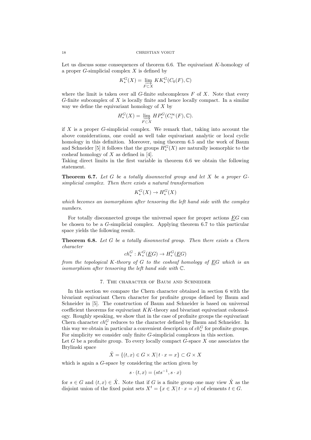Let us discuss some consequences of theorem 6.6. The equivariant  $K$ -homology of a proper  $G$ -simplicial complex  $X$  is defined by

$$
K_*^G(X) = \varinjlim_{F \subset X} KK_*^G(C_0(F), \mathbb{C})
$$

where the limit is taken over all  $G$ -finite subcomplexes  $F$  of  $X$ . Note that every  $G$ -finite subcomplex of  $X$  is locally finite and hence locally compact. In a similar way we define the equivariant homology of  $X$  by

$$
H_*^G(X) = \varinjlim_{F \subset X} HP_*^G(C_c^{\infty}(F), \mathbb{C}).
$$

if  $X$  is a proper  $G$ -simplicial complex. We remark that, taking into account the above considerations, one could as well take equivariant analytic or local cyclic homology in this definition. Moreover, using theorem 6.5 and the work of Baum and Schneider [5] it follows that the groups  $H_*^G(X)$  are naturally isomorphic to the cosheaf homology of  $X$  as defined in [4].

Taking direct limits in the first variable in theorem 6.6 we obtain the following statement.

**Theorem 6.7.** Let G be a totally disonnected group and let X be a proper  $G$ simplicial complex. Then there exists a natural transformation

$$
K_*^G(X) \to H_*^G(X)
$$

which becomes an isomorphism after tensoring the left hand side with the complex numbers.

For totally disconnected groups the universal space for proper actions EG can be chosen to be a G-simplicial complex. Applying theorem 6.7 to this particular space yields the following result.

**Theorem 6.8.** Let  $G$  be a totally disonnected group. Then there exists a Chern character

$$
ch^G_*: K_*^G(\underline{E}G) \to H_*^G(\underline{E}G)
$$

from the topological K-theory of G to the cosheaf homology of EG which is an isomorphism after tensoring the left hand side with C.

### 7. The character of Baum and Schneider

In this section we compare the Chern character obtained in section 6 with the bivariant equivariant Chern character for profinite groups defined by Baum and Schneider in [5]. The construction of Baum and Schneider is based on universal coefficient theorems for equivariant  $KK$ -theory and bivariant equivariant cohomology. Roughly speaking, we show that in the case of profinite groups the equivariant Chern character  $ch^G_*$  reduces to the character defined by Baum and Schneider. In this way we obtain in particular a convenient description of  $ch_*^G$  for profinite groups. For simplicity we consider only finite G-simplicial complexes in this section.

Let G be a profinite group. To every locally compact  $G$ -space X one associates the Brylinski space

$$
\hat{X} = \{(t, x) \in G \times X | t \cdot x = x\} \subset G \times X
$$

which is again a G-space by considering the action given by

$$
s \cdot (t, x) = (sts^{-1}, s \cdot x)
$$

for  $s \in G$  and  $(t, x) \in \hat{X}$ . Note that if G is a finite group one may view  $\hat{X}$  as the disjoint union of the fixed point sets  $X^t = \{x \in X | t \cdot x = x\}$  of elements  $t \in G$ .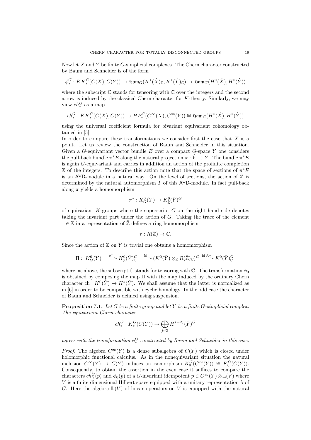Now let  $X$  and  $Y$  be finite  $G$ -simplicial complexes. The Chern character constructed by Baum and Schneider is of the form

$$
\phi^G_*: KK^G_*(C(X),C(Y))\to \mathfrak{Hom}_G(K^*(\hat{X})_{\mathbb{C}},K^*(\hat{Y})_{\mathbb{C}})\to \mathfrak{Hom}_G(H^*(\hat{X}),H^*(\hat{Y}))
$$

where the subscript  $\mathbb C$  stands for tensoring with  $\mathbb C$  over the integers and the second arrow is induced by the classical Chern character for K-theory. Similarly, we may view  $ch_*^G$  as a map

$$
ch^G_*: KK^G_*(C(X), C(Y)) \to HP^G_*(C^\infty(X), C^\infty(Y)) \cong \mathfrak{Hom}_G(H^*(\hat{X}), H^*(\hat{Y}))
$$

using the universal coefficient formula for bivariant equivariant cohomology obtained in [5].

In order to compare these transformations we consider first the case that  $X$  is a point. Let us review the construction of Baum and Schneider in this situation. Given a  $G$ -equivariant vector bundle  $E$  over a compact  $G$ -space  $Y$  one considers the pull-back bundle  $\pi^* E$  along the natural projection  $\pi : \hat{Y} \to Y$ . The bundle  $\pi^* E$ is again G-equivariant and carries in addition an action of the profinite completion  $\hat{\mathbb{Z}}$  of the integers. To describe this action note that the space of sections of  $\pi^* E$ is an AYD-module in a natural way. On the level of sections, the action of  $\mathbb{Z}$  is determined by the natural automorphism  $T$  of this AYD-module. In fact pull-back along  $\pi$  yields a homomorphism

$$
\pi^*: K_G^0(Y) \to K_{\hat{\mathbb{Z}}}^0(\hat{Y})^G
$$

of equivariant  $K$ -groups where the superscript  $G$  on the right hand side denotes taking the invariant part under the action of G. Taking the trace of the element  $1 \in \hat{\mathbb{Z}}$  in a representation of  $\hat{\mathbb{Z}}$  defines a ring homomorphism

$$
\tau: R(\hat{\mathbb{Z}}) \to \mathbb{C}.
$$

Since the action of  $\hat{\mathbb{Z}}$  on  $\hat{Y}$  is trivial one obtains a homomorphism

$$
\Pi: K_G^0(Y) \xrightarrow{\pi^*} K_{\mathbb{Z}}^0(\hat{Y})^G_{\mathbb{C}} \xrightarrow{\cong} (K^0(\hat{Y}) \otimes_{\mathbb{Z}} R(\hat{\mathbb{Z}})_{\mathbb{C}})^G \xrightarrow{\mathrm{id} \otimes_{\mathbb{Z}}} K^0(\hat{Y})^G_{\mathbb{C}}
$$

where, as above, the subscript  $\mathbb C$  stands for tensoring with  $\mathbb C$ . The transformation  $\phi_0$ is obtained by composing the map  $\Pi$  with the map induced by the ordinary Chern character ch :  $K^0(\hat{Y}) \to H^*(\hat{Y})$ . We shall assume that the latter is normalized as in [6] in order to be compatible with cyclic homology. In the odd case the character of Baum and Schneider is defined using suspension.

**Proposition 7.1.** Let G be a finite group and let Y be a finite G-simplicial complex. The equivariant Chern character

$$
ch^G_*: K_*^G(C(Y)) \to \bigoplus_{j \in \mathbb{Z}} H^{*+2j}(\hat{Y})^G
$$

agrees with the transformation  $\phi_*^G$  constructed by Baum and Schneider in this case.

*Proof.* The algebra  $C^{\infty}(Y)$  is a dense subalgebra of  $C(Y)$  which is closed under holomorphic functional calculus. As in the nonequivariant situation the natural inclusion  $C^{\infty}(Y) \to C(Y)$  induces an isomorphism  $K_0^G(C^{\infty}(Y)) \cong K_0^G(C(Y))$ . Consequently, to obtain the assertion in the even case it suffices to compare the characters  $ch_0^G(p)$  and  $\phi_0(p)$  of a G-invariant idempotent  $p \in C^{\infty}(Y) \otimes \mathbb{L}(V)$  where V is a finite dimensional Hilbert space equipped with a unitary representation  $\lambda$  of G. Here the algebra  $\mathbb{L}(V)$  of linear operators on V is equipped with the natural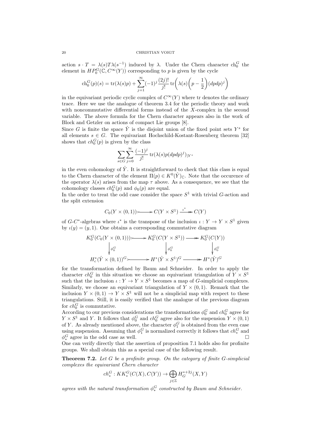action  $s \cdot T = \lambda(s) T \lambda(s^{-1})$  induced by  $\lambda$ . Under the Chern character ch<sub>0</sub><sup>*G*</sup> the element in  $HP_0^G(\mathbb{C}, C^{\infty}(Y))$  corresponding to p is given by the cycle

$$
\operatorname{ch}_0^G(p)(s) = \operatorname{tr}(\lambda(s)p) + \sum_{j=1}^{\infty} (-1)^j \frac{(2j)!}{j!} \operatorname{tr}\left(\lambda(s)\left(p - \frac{1}{2}\right) (dpdp)^j\right)
$$

in the equivariant periodic cyclic complex of  $C^{\infty}(Y)$  where tr denotes the ordinary trace. Here we use the analogue of theorem 3.4 for the periodic theory and work with noncommutative differential forms instead of the X-complex in the second variable. The above formula for the Chern character appears also in the work of Block and Getzler on actions of compact Lie groups [8].

Since G is finite the space  $\hat{Y}$  is the disjoint union of the fixed point sets  $Y^s$  for all elements  $s \in G$ . The equivariant Hochschild-Kostant-Rosenberg theorem [32] shows that  $ch_0^G(p)$  is given by the class

$$
\sum_{s\in G}\sum_{j=0}^\infty\frac{(-1)^j}{j!}\operatorname{tr}(\lambda(s)p(dpdp)^j)_{|Y^s}
$$

in the even cohomology of  $\hat{Y}$ . It is straightforward to check that this class is equal to the Chern character of the element  $\Pi(p) \in K^{0}(\hat{Y})_{\mathbb{C}}$ . Note that the occurence of the operator  $\lambda(s)$  arises from the map  $\tau$  above. As a consequence, we see that the cohomology classes  $ch_0^G(p)$  and  $\phi_0(p)$  are equal.

In the order to treat the odd case consider the space  $S^1$  with trivial G-action and the split extension

$$
C_0(Y \times (0,1)) \longrightarrow C(Y \times S^1) \xrightarrow{\iota^*} C(Y)
$$

of  $G-C^*$ -algebras where  $\iota^*$  is the transpose of the inclusion  $\iota: Y \to Y \times S^1$  given by  $\iota(y) = (y, 1)$ . One obtains a corresponding commutative diagram

$$
K_0^G(C_0(Y \times (0,1))) \longrightarrow K_0^G(C(Y \times S^1)) \longrightarrow K_0^G(C(Y))
$$
  
\n
$$
\downarrow_{\phi_0^G} \qquad \qquad \downarrow_{\phi_0^G} \qquad \qquad \downarrow_{\phi_0^G} \qquad \qquad \downarrow_{\phi_0^G}
$$
  
\n
$$
H_c^*(\hat{Y} \times (0,1))^G \longrightarrow H^*(\hat{Y} \times S^1)^G \longrightarrow H^*(\hat{Y})^G
$$

for the transformation defined by Baum and Schneider. In order to apply the character  $ch_0^G$  in this situation we choose an equivariant triangulation of  $Y \times S^1$ such that the inclusion  $\iota: Y \to Y \times S^1$  becomes a map of *G*-simplicial complexes. Similarly, we choose an equivariant triangulation of  $Y \times (0,1)$ . Remark that the inclusion  $Y \times (0,1) \to Y \times S^1$  will not be a simplicial map with respect to these triangulations. Still, it is easily verified that the analogue of the previous diagram for  $ch_0^G$  is commutative.

According to our previous considerations the transformations  $\phi_0^G$  and  $ch_0^G$  agree for  $Y \times S^1$  and Y. It follows that  $\phi_0^G$  and  $ch_0^G$  agree also for the suspension  $Y \times (0, 1)$ of Y. As already mentioned above, the character  $\phi_1^G$  is obtained from the even case using suspension. Assuming that  $\phi_1^G$  is normalized correctly it follows that  $ch_*^G$  and  $\phi_*^G$  agree in the odd case as well.

One can verify directly that the assertion of proposition 7.1 holds also for profinite groups. We shall obtain this as a special case of the following result.

Theorem 7.2. Let G be a profinite group. On the category of finite G-simplicial complexes the equivariant Chern character

$$
ch^G_*: KK^G_*(C(X), C(Y)) \to \bigoplus_{j \in \mathbb{Z}} H^{*+2j}_G(X, Y)
$$

agrees with the natural transformation  $\phi_*^G$  constructed by Baum and Schneider.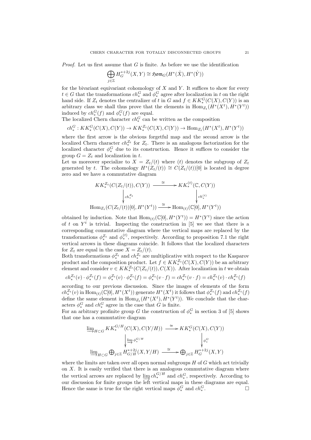*Proof.* Let us first assume that  $G$  is finite. As before we use the identification

$$
\bigoplus_{j\in\mathbb{Z}} H_G^{*+2j}(X,Y)\cong \mathfrak{Hom}_G(H^*(\hat{X}),H^*(\hat{Y}))
$$

for the bivariant equivariant cohomology of  $X$  and  $Y$ . It suffices to show for every  $t \in G$  that the transformations  $ch^G_*$  and  $\phi^G_*$  agree after localization in t on the right hand side. If  $Z_t$  denotes the centralizer of t in G and  $f \in KK_*^G(C(X), C(Y))$  is an arbitrary class we shall thus prove that the elements in  $\text{Hom}_{Z_t}(H^*(X^t), H^*(Y^t))$ induced by  $ch_*^G(f)$  and  $\phi_*^G(f)$  are equal.

The localized Chern character  $ch_*^G$  can be written as the composition

$$
ch^G_*: KK^G_*(C(X), C(Y)) \to KK^{Z_t}_*(C(X), C(Y)) \to \text{Hom}_{Z_t}(H^*(X^t), H^*(Y^t))
$$

where the first arrow is the obvious forgetful map and the second arrow is the localized Chern character  $ch_*^{Z_t}$  for  $Z_t$ . There is an analogous factorization for the localized character  $\phi_*^G$  due to its construction. Hence it suffices to consider the group  $G = Z_t$  and localization in t.

Let us moreover specialize to  $X = Z_t/(t)$  where (t) denotes the subgroup of  $Z_t$ generated by t. The cohomology  $H^*(Z_t/(t)) \cong C(Z_t/(t))[0]$  is located in degree zero and we have a commutative diagram

$$
KK^{Z_t}_*(C(Z_t/(t)), C(Y)) \xrightarrow{\cong} KK^{(t)}_*(\mathbb{C}, C(Y))
$$
  
\n
$$
\downarrow_{ch^{Z_t}_*} \qquad \qquad \downarrow_{ch^{(t)}_*}
$$
  
\n
$$
\text{Hom}_{Z_t}(C(Z_t/(t))[0], H^*(Y^t)) \xrightarrow{\cong} \text{Hom}_{(t)}(\mathbb{C}[0], H^*(Y^t))
$$

obtained by induction. Note that  $\text{Hom}_{(t)}(\mathbb{C}[0], H^*(Y^t)) = H^*(Y^t)$  since the action of t on  $Y<sup>t</sup>$  is trivial. Inspecting the construction in [5] we see that there is a corresponding commutative diagram where the vertical maps are replaced by the transformations  $\phi_*^{Z_t}$  and  $\phi_*^{(t)}$ , respectively. According to proposition 7.1 the right vertical arrows in these diagrams coincide. It follows that the localized characters for  $Z_t$  are equal in the case  $X = Z_t/(t)$ .

Both transformations  $\phi_*^{Z_t}$  and  $ch_*^{Z_t}$  are multiplicative with respect to the Kasparov product and the composition product. Let  $f \in KK^{Z_t}_{*}(C(X), C(Y))$  be an arbitrary element and consider  $v \in KK^{Z_t}_*(C(Z_t/(t)), C(X))$ . After localization in t we obtain

$$
ch_*^{Z_t}(v) \cdot \phi_*^{Z_t}(f) = \phi_*^{Z_t}(v) \cdot \phi_*^{Z_t}(f) = \phi_*^{Z_t}(v \cdot f) = ch_*^{Z_t}(v \cdot f) = ch_*^{Z_t}(v) \cdot ch_*^{Z_t}(f)
$$

according to our previous discussion. Since the images of elements of the form  $ch_*^{Z_t}(v)$  in  $\text{Hom}_{(t)}(\mathbb{C}[0], H^*(X^t))$  generate  $H^*(X^t)$  it follows that  $\phi_*^{Z_t}(f)$  and  $ch_*^{Z_t}(f)$  $c_n^*(v)$  in  $\text{nom}_{(t)}(\mathcal{C}[v], H^*(X))$  generate  $H^*(X)$  it follows that  $\varphi_*^*(f)$  and  $c_n^*(f)$  define the same element in  $\text{Hom}_{Z_t}(H^*(X^t), H^*(Y^t))$ . We conclude that the characters  $\phi_*^G$  and  $ch_*^G$  agree in the case that G is finite.

For an arbitrary profinite group G the construction of  $\phi_*^G$  in section 3 of [5] shows that one has a commutative diagram

$$
\lim_{H \subset G} KK^{G/H}_*(C(X), C(Y/H)) \xrightarrow{\cong} KK^G_*(C(X), C(Y))
$$
\n
$$
\lim_{V \to 0^G} \bigoplus_{j \in \mathbb{Z}} K^{G/H}_{G/H}(X, Y/H) \xrightarrow{\cong} \bigoplus_{j \in \mathbb{Z}} H^{*+2j}_G(X, Y)
$$

where the limits are taken over all open normal subgroups  $H$  of  $G$  which act trivially on  $X$ . It is easily verified that there is an analogous commutative diagram where the vertical arrows are replaced by  $\lim_{n \to \infty} ch_*^{G/H}$  and  $ch_*^G$ , respectively. According to our discussion for finite groups the left vertical maps in these diagrams are equal. Hence the same is true for the right vertical maps  $\phi_*^G$  and  $ch_*^G$ . — Первый процесс в принцеписи и программа в серверном процесс в принцеписи и программа в серверном принцепис<br>В серверном принцеписи и принцеписи и принцеписи и программа в серверном принцеписи и программа в серверном пр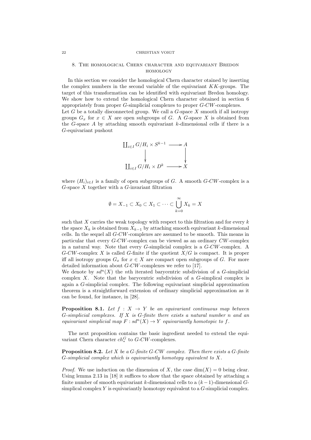#### 22 CHRISTIAN VOIGT

## 8. The homological Chern character and equivariant Bredon homology

In this section we consider the homological Chern character otained by inserting the complex numbers in the second variable of the equivariant  $KK$ -groups. The target of this transformation can be identified with equivariant Bredon homology. We show how to extend the homological Chern character obtained in section 6 appropriately from proper G-simplicial complexes to proper G-CW-complexes. Let  $G$  be a totally disconnected group. We call a  $G$ -space  $X$  smooth if all isotropy groups  $G_x$  for  $x \in X$  are open subgroups of G. A G-space X is obtained from the G-space A by attaching smooth equivariant  $k$ -dimensional cells if there is a G-equivariant pushout



where  $(H_i)_{i\in I}$  is a family of open subgroups of G. A smooth G-CW-complex is a  $G$ -space  $X$  together with a  $G$ -invariant filtration

$$
\emptyset = X_{-1} \subset X_0 \subset X_1 \subset \cdots \subset \bigcup_{k=0}^{\infty} X_k = X
$$

such that  $X$  carries the weak topology with respect to this filtration and for every  $k$ the space  $X_k$  is obtained from  $X_{k-1}$  by attaching smooth equivariant k-dimensional cells. In the sequel all G-CW-complexes are assumed to be smooth. This means in particular that every G-CW-complex can be viewed as an ordinary CW-complex in a natural way. Note that every G-simplicial complex is a G-CW-complex. A  $G-CW$ -complex X is called G-finite if the quotient  $X/G$  is compact. It is proper iff all isotropy groups  $G_x$  for  $x \in X$  are compact open subgroups of G. For more detailed information about G-CW-complexes we refer to [17].

We denote by  $sd^n(X)$  the nth iterated barycentric subdivision of a G-simplicial complex X. Note that the barycentric subdivision of a G-simplical complex is again a G-simplicial complex. The following equivariant simplicial approximation theorem is a straightforward extension of ordinary simplicial approximation as it can be found, for instance, in [28].

**Proposition 8.1.** Let  $f : X \rightarrow Y$  be an equivariant continuous map between G-simplicial complexes. If  $X$  is G-finite there exists a natural number n and an equivariant simplicial map  $F : sd^n(X) \to Y$  equivariantly homotopic to f.

The next proposition contains the basic ingredient needed to extend the equivariant Chern character  $ch_*^G$  to  $G$ -CW-complexes.

**Proposition 8.2.** Let  $X$  be a  $G$ -finite  $G$ -CW complex. Then there exists a  $G$ -finite G-simplicial complex which is equivariantly homotopy equivalent to X.

*Proof.* We use induction on the dimension of X, the case  $dim(X) = 0$  being clear. Using lemma 2.13 in [18] it suffices to show that the space obtained by attaching a finite number of smooth equivariant k-dimensional cells to a  $(k-1)$ -dimensional Gsimplical complex  $Y$  is equivariantly homotopy equivalent to a  $G$ -simplicial complex.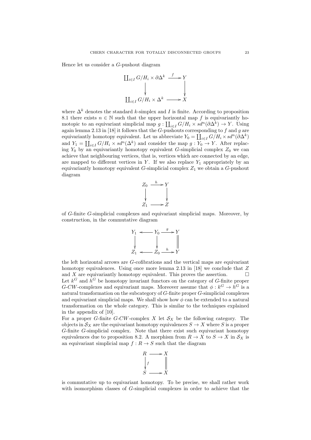Hence let us consider a G-pushout diagram

$$
\begin{array}{ccc}\n\coprod_{i \in I} G/H_i \times \partial \Delta^k & \xrightarrow{f} Y \\
\downarrow & & \downarrow \\
\coprod_{i \in I} G/H_i \times \Delta^k & \longrightarrow X\n\end{array}
$$

where  $\Delta^k$  denotes the standard k-simplex and I is finite. According to proposition 8.1 there exists  $n \in \mathbb{N}$  such that the upper horizontal map f is equivariantly homotopic to an equivariant simplicial map  $g: \coprod_{i \in I} G/H_i \times sd^n(\partial \Delta^k) \to Y$ . Using again lemma 2.13 in [18] it follows that the G-pushouts corresponding to  $f$  and  $g$  are equivariantly homotopy equivalent. Let us abbreviate  $Y_0 = \coprod_{i \in I} G/H_i \times sd^n(\partial \Delta^k)$ and  $Y_1 = \coprod_{i \in I} G/H_i \times sd^n(\Delta^k)$  and consider the map  $g: Y_0 \to Y$ . After replacing  $Y_0$  by an equivariantly homotopy equivalent G-simplicial complex  $Z_0$  we can achieve that neighbouring vertices, that is, vertices which are connected by an edge, are mapped to different vertices in  $Y$ . If we also replace  $Y_1$  appropriately by an equivariantly homotopy equivalent  $G$ -simplicial complex  $Z_1$  we obtain a  $G$ -pushout diagram



of G-finite G-simplicial complexes and equivariant simplicial maps. Moreover, by construction, in the commutative diagram



the left horizontal arrows are G-cofibrations and the vertical maps are equivariant homotopy equivalences. Using once more lemma 2.13 in [18] we conclude that  $Z$ and X are equivariantly homotopy equivalent. This proves the assertion.  $\Box$ Let  $k^G$  and  $h^G$  be homotopy invariant functors on the category of G-finite proper G-CW-complexes and equivariant maps. Moreover assume that  $\phi: k^G \to h^G$  is a natural transformation on the subcategory of G-finite proper G-simplicial complexes and equivariant simplicial maps. We shall show how  $\phi$  can be extended to a natural transformation on the whole category. This is similar to the techniques explained in the appendix of [10].

For a proper G-finite G-CW-complex X let  $S_X$  be the following category. The objects in  $S_X$  are the equivariant homotopy equivalences  $S \to X$  where S is a proper G-finite G-simplicial complex. Note that there exist such equivariant homotopy equivalences due to proposition 8.2. A morphism from  $R \to X$  to  $S \to X$  in  $\mathcal{S}_X$  is an equivariant simplicial map  $f : R \to S$  such that the diagram



is commutative up to equivariant homotopy. To be precise, we shall rather work with isomorphism classes of G-simplicial complexes in order to achieve that the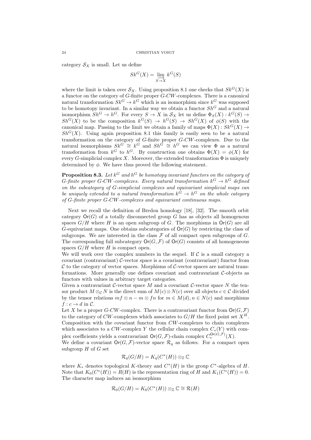category  $S_X$  is small. Let us define

$$
Sk^G(X) = \varinjlim_{S \to X} k^G(S)
$$

where the limit is taken over  $\mathcal{S}_X$ . Using proposition 8.1 one checks that  $Sk^G(X)$  is a functor on the category of G-finite proper G-CW-complexes. There is a canonical natural transformation  $Sk^G \to k^G$  which is an isomorphism since  $k^G$  was supposed to be homotopy invariant. In a similar way we obtain a functor  $Sh^G$  and a natural isomorphism  $Sh^G \to h^G$ . For every  $S \to X$  in  $\mathcal{S}_X$  let us define  $\Phi_S(X) : k^G(S) \to$  $Sh^G(X)$  to be the composition  $k^G(S) \to h^G(S) \to Sh^G(X)$  of  $\phi(S)$  with the canonical map. Passing to the limit we obtain a family of maps  $\Phi(X)$ :  $Sk^G(X) \rightarrow$  $Sh^{G}(X)$ . Using again proposition 8.1 this family is easily seen to be a natural transformation on the category of G-finite proper G-CW-complexes. Due to the natural isomorphisms  $Sk^G \cong k^G$  and  $Sh^{\tilde{G}} \cong h^G$  we can view  $\Phi$  as a natural transformation from  $k^G$  to  $h^G$ . By construction one obtains  $\Phi(X) = \phi(X)$  for every G-simplicial complex X. Moreover, the extended transformation  $\Phi$  is uniquely determined by  $\phi$ . We have thus proved the following statement.

**Proposition 8.3.** Let  $k^G$  and  $h^G$  be homotopy invariant functors on the category of G-finite proper G-CW-complexes. Every natural transformation  $k^G \to h^G$  defined on the subcategory of G-simplicial complexes and equivariant simplicial maps can be uniquely extended to a natural transformation  $k^G \to h^G$  on the whole category of G-finite proper G-CW-complexes and equivariant continuous maps.

Next we recall the definition of Bredon homology [18], [32]. The smooth orbit category  $\text{Or}(G)$  of a totally disconnected group G has as objects all homogenous spaces  $G/H$  where H is an open subgroup of G. The morphisms in  $\text{Or}(G)$  are all G-equivariant maps. One obtains subcategories of  $\mathsf{Or}(G)$  by restricting the class of subgroups. We are interested in the class  $\mathcal F$  of all compact open subgroups of  $G$ . The corresponding full subcategory  $\mathsf{Or}(G, \mathcal{F})$  of  $\mathsf{Or}(G)$  consists of all homogeneous spaces  $G/H$  where H is compact open.

We will work over the complex numbers in the sequel. If  $C$  is a small category a covariant (contravariant)  $\mathcal{C}$ -vector space is a covariant (contravariant) functor from  $\mathcal C$  to the category of vector spaces. Morphisms of  $\mathcal C$ -vector spaces are natural transformations. More generally one defines covariant and contravariant  $C$ -objects as functors with values in arbitrary target categories.

Given a contravariant C-vector space M and a covariant C-vector space N the tensor product  $M \otimes_{\mathcal{C}} N$  is the direct sum of  $M(c) \otimes N(c)$  over all objects  $c \in \mathcal{C}$  divided by the tensor relations  $mf \otimes n - m \otimes fn$  for  $m \in M(d), n \in N(c)$  and morphisms  $f: c \to d$  in C.

Let X be a proper G-CW-complex. There is a contravariant functor from  $\mathsf{Or}(G,\mathcal{F})$ to the category of CW-complexes which associates to  $G/H$  the fixed point set  $X^H$ . Composition with the covariant functor from CW-complexes to chain complexes which associates to a  $CW$ -complex Y the cellular chain complex  $C_*(Y)$  with complex coefficients yields a contravariant  $\mathsf{Or}(G,\mathcal{F})$ -chain complex  $C^{ \mathsf{Or}(G,\mathcal{F})}_*(X)$ .

We define a covariant  $\mathsf{Or}(G,\mathcal{F})$ -vector space  $\mathcal{R}_q$  as follows. For a compact open subgroup  $H$  of  $G$  set

$$
\mathcal{R}_q(G/H) = K_q(C^*(H)) \otimes_{\mathbb{Z}} \mathbb{C}
$$

where  $K_*$  denotes topological K-theory and  $C^*(H)$  is the group  $C^*$ -algebra of H. Note that  $K_0(C^*(H)) = R(H)$  is the representation ring of H and  $K_1(C^*(H)) = 0$ . The character map induces an isomorphism

$$
\mathcal{R}_0(G/H) = K_0(C^*(H)) \otimes_{\mathbb{Z}} \mathbb{C} \cong \mathcal{R}(H)
$$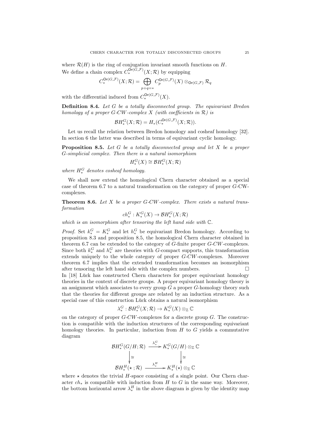where  $\mathcal{R}(H)$  is the ring of conjugation invariant smooth functions on H. We define a chain complex  $C_*^{\mathsf{Or}(G,\mathcal{F})}(X;\mathcal{R})$  by equipping

$$
C_*^{\mathsf{Or}(G,\mathcal{F})}(X;\mathcal{R})=\bigoplus_{p+q=*}C_p^{\mathsf{Or}(G,\mathcal{F})}(X)\otimes_{\mathsf{Or}(G,\mathcal{F})}\mathcal{R}_q
$$

with the differential induced from  $C_*^{\mathsf{Or}(G,\mathcal{F})}(X)$ .

Definition 8.4. Let G be a totally disconnected group. The equivariant Bredon homology of a proper G-CW-complex X (with coefficients in  $\mathcal{R}$ ) is

$$
\mathcal{B}H^G_*(X;\mathcal{R})=H_*(C^{\mathsf{Or}(G,\mathcal{F})}_*(X;\mathcal{R})).
$$

Let us recall the relation between Bredon homology and cosheaf homology [32]. In section 6 the latter was described in terms of equivariant cyclic homology.

**Proposition 8.5.** Let G be a totally disconnected group and let X be a proper G-simplicial complex. Then there is a natural isomorphism

$$
H_*^G(X)\cong \mathcal{B}H_*^G(X;\mathcal{R})
$$

where  $H_*^G$  denotes cosheaf homology.

We shall now extend the homological Chern character obtained as a special case of theorem 6.7 to a natural transformation on the category of proper G-CWcomplexes.

**Theorem 8.6.** Let  $X$  be a proper  $G-CW$ -complex. There exists a natural transformation

$$
ch^G_*: K_*^G(X) \to \mathcal{B}H_*^G(X; \mathcal{R})
$$

which is an isomorphism after tensoring the left hand side with C.

*Proof.* Set  $k_*^G = K_*^G$  and let  $h_*^G$  be equivariant Bredon homology. According to proposition 8.3 and proposition 8.5, the homological Chern character obtained in theorem 6.7 can be extended to the category of  $\tilde{G}$ -finite proper  $G$ -CW-complexes. Since both  $k_*^G$  and  $h_*^G$  are theories with G-compact supports, this transformation extends uniquely to the whole category of proper G-CW-complexes. Moreover theorem 6.7 implies that the extended transformation becomes an isomorphism after tensoring the left hand side with the complex numbers.  $\Box$ 

In  $[18]$  Lück has constructed Chern characters for proper equivariant homology theories in the context of discrete groups. A proper equivariant homology theory is an assignment which associates to every group  $G$  a proper  $G$ -homology theory such that the theories for different groups are related by an induction structure. As a special case of this construction Lück obtains a natural isomorphism

$$
\lambda^G_*:\mathcal{B}H_*^G(X;\mathcal{R})\to K_*^G(X)\otimes_{\mathbb{Z}}\mathbb{C}
$$

on the category of proper  $G-CW$ -complexes for a discrete group  $G$ . The construction is compatible with the induction structures of the corresponding equivariant homology theories. In particular, induction from  $H$  to  $G$  yields a commutative diagram

$$
\mathcal{B}H^G_*(G/H;\mathcal{R}) \xrightarrow{\lambda_*^G} K^G_*(G/H) \otimes_{\mathbb{Z}} \mathbb{C}
$$
  
\n
$$
\downarrow \cong \qquad \qquad \downarrow \cong
$$
  
\n
$$
\mathcal{B}H^H_*(\star;\mathcal{R}) \xrightarrow{\lambda_*^H} K^H_*(\star) \otimes_{\mathbb{Z}} \mathbb{C}
$$

where  $\star$  denotes the trivial H-space consisting of a single point. Our Chern character  $ch_*$  is compatible with induction from H to G in the same way. Moreover, the bottom horizontal arrow  $\lambda_*^H$  in the above diagram is given by the identity map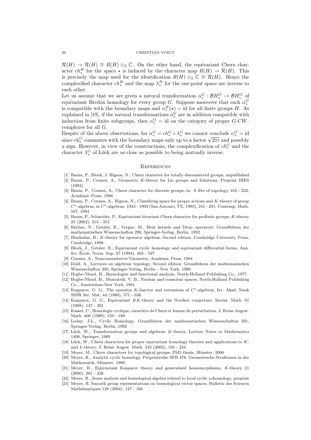#### 26 CHRISTIAN VOIGT

 $\mathcal{R}(H) \to \mathcal{R}(H) \cong R(H) \otimes_{\mathbb{Z}} \mathbb{C}$ . On the other hand, the equivariant Chern character  $ch_*^H$  for the space  $\star$  is induced by the character map  $R(H) \to \mathcal{R}(H)$ . This is precisely the map used for the identification  $R(H) \otimes_{\mathbb{Z}} \mathbb{C} \cong \mathcal{R}(H)$ . Hence the complexified character  $ch_*^H$  and the map  $\lambda_*^H$  for the one-point space are inverse to each other.

Let us assume that we are given a natural transformation  $\alpha_*^G : \mathcal{B}H_*^G \to \mathcal{B}H_*^G$  of equivariant Bredon homology for every group G. Suppose moreover that each  $\alpha_*^G$  $\alpha_*$  is compatible with the boundary maps and  $\alpha_*^H(\star) =$  id for all finite groups H. As explained in [19], if the natural transformations  $\alpha_*^G$  are in addition compatible with induction from finite subgroups, then  $\alpha_*^G = id$  on the category of proper G-CWcomplexes for all  $G$ .

Despite of the above observations, for  $\alpha_*^G = ch_*^G \circ \lambda_*^G$  we cannot conclude  $\alpha_*^G = id$ Despite of the above observations, for  $\alpha_* = c n_* \circ \lambda_*$  we cannot conclude  $\alpha_* = \text{id}$ <br>since  $ch_*^G$  commutes with the boundary maps only up to a factor  $\sqrt{2\pi i}$  and possibly a sign. However, in view of the constructions, the complexification of  $ch_*^G$  and the character  $\lambda_*^G$  of Lück are as close as possible to being mutually inverse.

#### **REFERENCES**

- [1] Baum, P., Block, J. Higson, N., Chern character for totally disconnected groups, unpublished
- [2] Baum, P., Connes, A., Geometric K-theory for Lie groups and foliations, Preprint IHES (1982)
- [3] Baum, P., Connes, A., Chern character for discrete groups, in: A fête of topology, 163 232, Academic Press, 1988
- [4] Baum, P., Connes, A., Higson, N., Classifying space for proper actions and K-theory of group C∗-algebras, in C∗-algebras: 1943 - 1993 (San Antonio, TX, 1993), 241 - 291, Contemp. Math. 167, 1994
- [5] Baum, P., Schneider, P., Equivariant bivariant Chern character for profinite groups, K-theory 25 (2002), 313 - 353
- [6] Berline, N., Getzler, E., Vergne, M., Heat kernels and Dirac operators, Grundlehren der mathematischen Wissenschaften 298, Springer-Verlag, Berlin, 1992
- [7] Blackadar, B., K-theory for operator algebras. Second edition. Cambridge University Press, Cambridge, 1998
- [8] Block, J., Getzler, E., Equivariant cyclic homology and equivariant differential forms, Ann. Sci. Ecole. Norm. Sup. 27 (1994), 493 - 527 ´
- Connes, A., Noncommutative Geometry, Academic Press, 1994
- [10] Dold, A., Lectures on algebraic topology. Second edition. Grundlehren der mathematischen Wissenschaften 200, Springer-Verlag, Berlin - New York, 1980
- [11] Hogbe-Nlend, H., Bornologies and functional analysis, North-Holland Publishing Co., 1977
- [12] Hogbe-Nlend, H., Moscatelli, V. B., Nuclear and conuclear spaces, North-Holland Publishing Co., Amsterdam-New York, 1981
- [13] Kasparov, G. G., The operator K-functor and extensions of C∗-algebras, Izv. Akad. Nauk SSSR Ser. Mat. 44 (1980), 571 - 636
- [14] Kasparov, G. G., Equivariant KK-theory and the Novikov conjecture, Invent. Math. 91 (1988), 147 - 201
- [15] Kassel, C., Homologie cyclique, caractère de Chern et lemme de perturbation, J. Reine Angew. Math. 408 (1990), 159 - 180
- [16] Loday, J-L., Cyclic Homology, Grundlehren der mathematischen Wissenschaften 301, Springer-Verlag, Berlin, 1992
- $[17]$  Lück, W., Transformation groups and algebraic K-theory, Lecture Notes in Mathematics 1408, Springer, 1989
- [18] Lück, W., Chern characters for proper equivariant homology theories and applications to  $K$ and L-theory, J. Reine Angew. Math. 543 (2002), 193 - 234
- [19] Meyer, M., Chern characters for topological groups, PhD thesis, Münster, 2006
- [20] Meyer, R., Analytic cyclic homology, Preprintreihe SFB 478, Geometrische Strukturen in der Mathematik, Münster, 1999
- [21] Meyer, R., Equivariant Kasparov theory and generalized homomorphisms, K-theory 21 (2000), 201 - 228
- [22] Meyer, R., Some analysis and homological algebra related to local cyclic cohomology, preprint
- [23] Meyer, R. Smooth group representations on bornological vector spaces, Bulletin des Sciences Mathématiques 128 (2004), 127 - 166